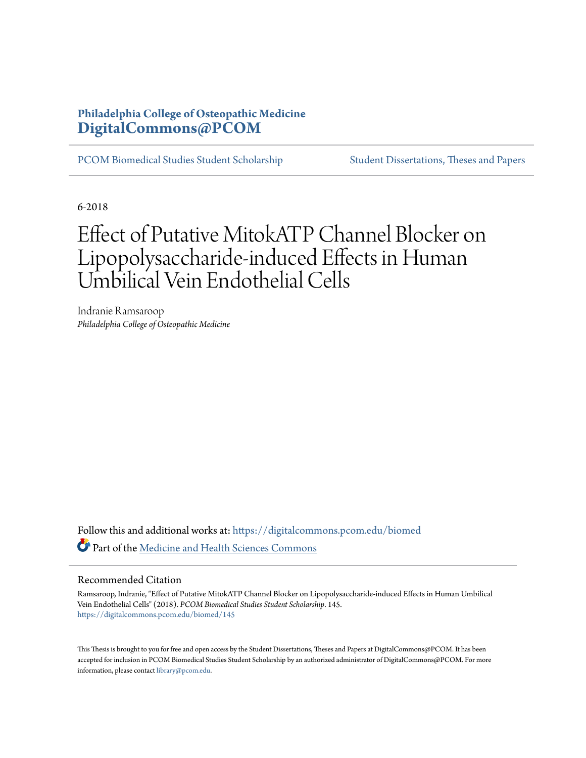## **Philadelphia College of Osteopathic Medicine [DigitalCommons@PCOM](https://digitalcommons.pcom.edu?utm_source=digitalcommons.pcom.edu%2Fbiomed%2F145&utm_medium=PDF&utm_campaign=PDFCoverPages)**

[PCOM Biomedical Studies Student Scholarship](https://digitalcommons.pcom.edu/biomed?utm_source=digitalcommons.pcom.edu%2Fbiomed%2F145&utm_medium=PDF&utm_campaign=PDFCoverPages) [Student Dissertations, Theses and Papers](https://digitalcommons.pcom.edu/etds?utm_source=digitalcommons.pcom.edu%2Fbiomed%2F145&utm_medium=PDF&utm_campaign=PDFCoverPages)

6-2018

# Effect of Putative MitokATP Channel Blocker on Lipopolysaccharide-induced Effects in Human Umbilical Vein Endothelial Cells

Indranie Ramsaroop *Philadelphia College of Osteopathic Medicine*

Follow this and additional works at: [https://digitalcommons.pcom.edu/biomed](https://digitalcommons.pcom.edu/biomed?utm_source=digitalcommons.pcom.edu%2Fbiomed%2F145&utm_medium=PDF&utm_campaign=PDFCoverPages) Part of the [Medicine and Health Sciences Commons](http://network.bepress.com/hgg/discipline/648?utm_source=digitalcommons.pcom.edu%2Fbiomed%2F145&utm_medium=PDF&utm_campaign=PDFCoverPages)

### Recommended Citation

Ramsaroop, Indranie, "Effect of Putative MitokATP Channel Blocker on Lipopolysaccharide-induced Effects in Human Umbilical Vein Endothelial Cells" (2018). *PCOM Biomedical Studies Student Scholarship*. 145. [https://digitalcommons.pcom.edu/biomed/145](https://digitalcommons.pcom.edu/biomed/145?utm_source=digitalcommons.pcom.edu%2Fbiomed%2F145&utm_medium=PDF&utm_campaign=PDFCoverPages)

This Thesis is brought to you for free and open access by the Student Dissertations, Theses and Papers at DigitalCommons@PCOM. It has been accepted for inclusion in PCOM Biomedical Studies Student Scholarship by an authorized administrator of DigitalCommons@PCOM. For more information, please contact [library@pcom.edu.](mailto:library@pcom.edu)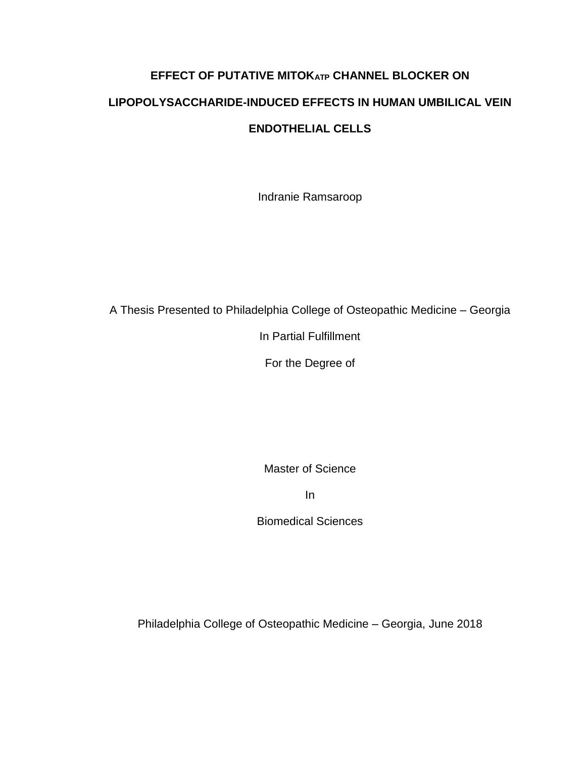# **EFFECT OF PUTATIVE MITOKATP CHANNEL BLOCKER ON LIPOPOLYSACCHARIDE-INDUCED EFFECTS IN HUMAN UMBILICAL VEIN ENDOTHELIAL CELLS**

Indranie Ramsaroop

A Thesis Presented to Philadelphia College of Osteopathic Medicine – Georgia

In Partial Fulfillment

For the Degree of

Master of Science

In

Biomedical Sciences

Philadelphia College of Osteopathic Medicine – Georgia, June 2018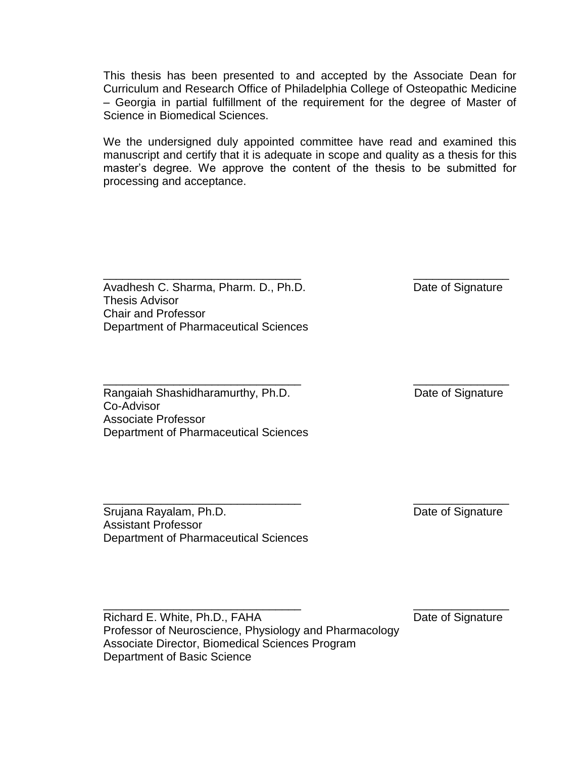This thesis has been presented to and accepted by the Associate Dean for Curriculum and Research Office of Philadelphia College of Osteopathic Medicine – Georgia in partial fulfillment of the requirement for the degree of Master of Science in Biomedical Sciences.

We the undersigned duly appointed committee have read and examined this manuscript and certify that it is adequate in scope and quality as a thesis for this master's degree. We approve the content of the thesis to be submitted for processing and acceptance.

\_\_\_\_\_\_\_\_\_\_\_\_\_\_\_\_\_\_\_\_\_\_\_\_\_\_\_\_\_\_\_ \_\_\_\_\_\_\_\_\_\_\_\_\_\_\_

Avadhesh C. Sharma, Pharm. D., Ph.D. Date of Signature Thesis Advisor Chair and Professor Department of Pharmaceutical Sciences

Rangaiah Shashidharamurthy, Ph.D. **Date of Signature** Date of Signature Co-Advisor Associate Professor Department of Pharmaceutical Sciences

\_\_\_\_\_\_\_\_\_\_\_\_\_\_\_\_\_\_\_\_\_\_\_\_\_\_\_\_\_\_\_ \_\_\_\_\_\_\_\_\_\_\_\_\_\_\_

Srujana Rayalam, Ph.D. Carrier and Contract and Contract Date of Signature Assistant Professor Department of Pharmaceutical Sciences

\_\_\_\_\_\_\_\_\_\_\_\_\_\_\_\_\_\_\_\_\_\_\_\_\_\_\_\_\_\_\_ \_\_\_\_\_\_\_\_\_\_\_\_\_\_\_

Richard E. White, Ph.D., FAHA Date of Signature Professor of Neuroscience, Physiology and Pharmacology Associate Director, Biomedical Sciences Program Department of Basic Science

\_\_\_\_\_\_\_\_\_\_\_\_\_\_\_\_\_\_\_\_\_\_\_\_\_\_\_\_\_\_\_ \_\_\_\_\_\_\_\_\_\_\_\_\_\_\_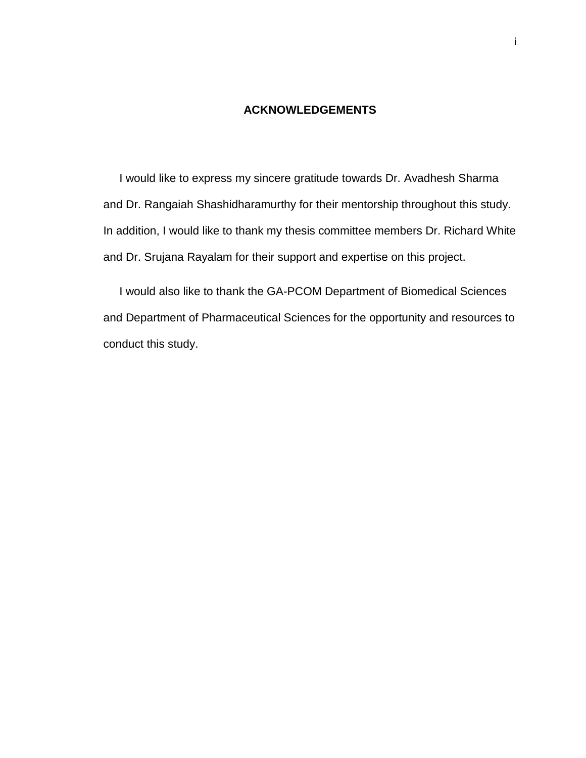### **ACKNOWLEDGEMENTS**

I would like to express my sincere gratitude towards Dr. Avadhesh Sharma and Dr. Rangaiah Shashidharamurthy for their mentorship throughout this study. In addition, I would like to thank my thesis committee members Dr. Richard White and Dr. Srujana Rayalam for their support and expertise on this project.

 I would also like to thank the GA-PCOM Department of Biomedical Sciences and Department of Pharmaceutical Sciences for the opportunity and resources to conduct this study.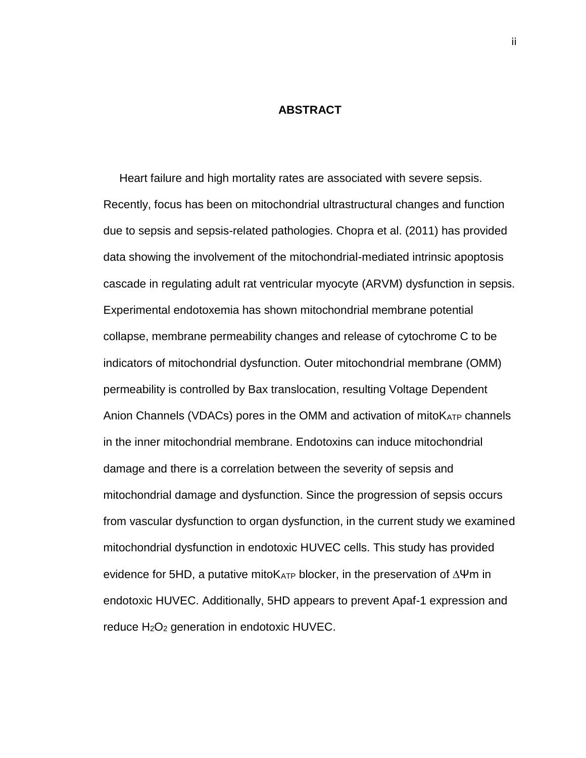### **ABSTRACT**

 Heart failure and high mortality rates are associated with severe sepsis. Recently, focus has been on mitochondrial ultrastructural changes and function due to sepsis and sepsis-related pathologies. Chopra et al. (2011) has provided data showing the involvement of the mitochondrial-mediated intrinsic apoptosis cascade in regulating adult rat ventricular myocyte (ARVM) dysfunction in sepsis. Experimental endotoxemia has shown mitochondrial membrane potential collapse, membrane permeability changes and release of cytochrome C to be indicators of mitochondrial dysfunction. Outer mitochondrial membrane (OMM) permeability is controlled by Bax translocation, resulting Voltage Dependent Anion Channels (VDACs) pores in the OMM and activation of mitoK<sub>ATP</sub> channels in the inner mitochondrial membrane. Endotoxins can induce mitochondrial damage and there is a correlation between the severity of sepsis and mitochondrial damage and dysfunction. Since the progression of sepsis occurs from vascular dysfunction to organ dysfunction, in the current study we examined mitochondrial dysfunction in endotoxic HUVEC cells. This study has provided evidence for 5HD, a putative mitoK<sub>ATP</sub> blocker, in the preservation of ∆Ψm in endotoxic HUVEC. Additionally, 5HD appears to prevent Apaf-1 expression and reduce  $H_2O_2$  generation in endotoxic HUVEC.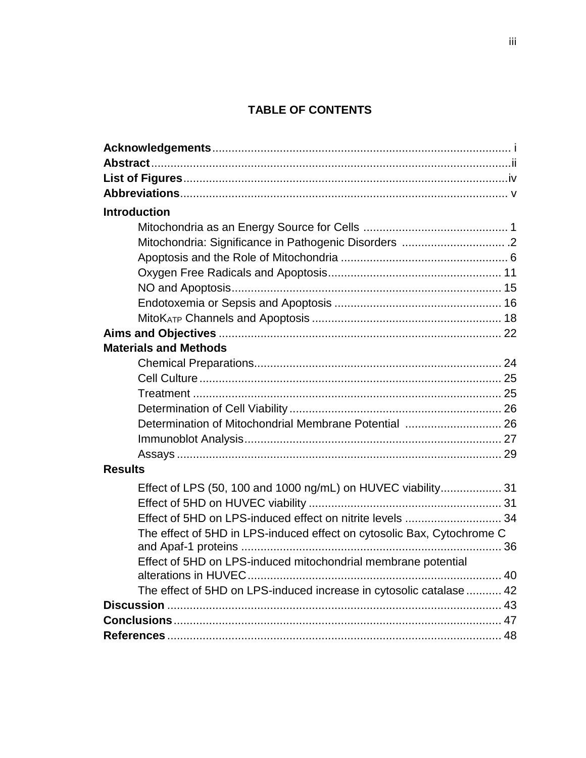## **TABLE OF CONTENTS**

| <b>Introduction</b>                                                    |  |
|------------------------------------------------------------------------|--|
|                                                                        |  |
|                                                                        |  |
|                                                                        |  |
|                                                                        |  |
|                                                                        |  |
|                                                                        |  |
|                                                                        |  |
|                                                                        |  |
| <b>Materials and Methods</b>                                           |  |
|                                                                        |  |
|                                                                        |  |
|                                                                        |  |
|                                                                        |  |
|                                                                        |  |
|                                                                        |  |
|                                                                        |  |
| <b>Results</b>                                                         |  |
| Effect of LPS (50, 100 and 1000 ng/mL) on HUVEC viability 31           |  |
|                                                                        |  |
|                                                                        |  |
| The effect of 5HD in LPS-induced effect on cytosolic Bax, Cytochrome C |  |
|                                                                        |  |
| Effect of 5HD on LPS-induced mitochondrial membrane potential          |  |
|                                                                        |  |
| The effect of 5HD on LPS-induced increase in cytosolic catalase  42    |  |
|                                                                        |  |
|                                                                        |  |
|                                                                        |  |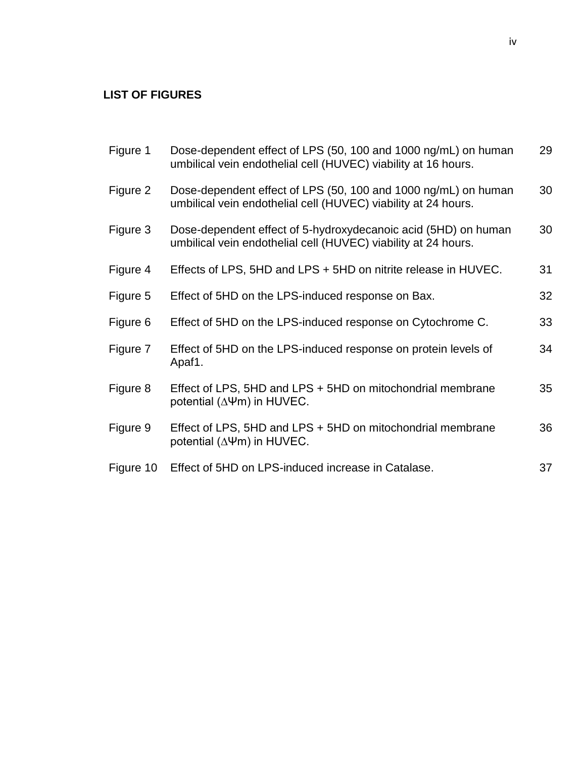## **LIST OF FIGURES**

| Figure 1  | Dose-dependent effect of LPS (50, 100 and 1000 ng/mL) on human<br>umbilical vein endothelial cell (HUVEC) viability at 16 hours. | 29 |
|-----------|----------------------------------------------------------------------------------------------------------------------------------|----|
| Figure 2  | Dose-dependent effect of LPS (50, 100 and 1000 ng/mL) on human<br>umbilical vein endothelial cell (HUVEC) viability at 24 hours. | 30 |
| Figure 3  | Dose-dependent effect of 5-hydroxydecanoic acid (5HD) on human<br>umbilical vein endothelial cell (HUVEC) viability at 24 hours. | 30 |
| Figure 4  | Effects of LPS, 5HD and LPS + 5HD on nitrite release in HUVEC.                                                                   | 31 |
| Figure 5  | Effect of 5HD on the LPS-induced response on Bax.                                                                                | 32 |
| Figure 6  | Effect of 5HD on the LPS-induced response on Cytochrome C.                                                                       | 33 |
| Figure 7  | Effect of 5HD on the LPS-induced response on protein levels of<br>Apaf1.                                                         | 34 |
| Figure 8  | Effect of LPS, 5HD and LPS + 5HD on mitochondrial membrane<br>potential ( $\Delta \Psi$ m) in HUVEC.                             | 35 |
| Figure 9  | Effect of LPS, 5HD and LPS + 5HD on mitochondrial membrane<br>potential ( $\Delta \Psi$ m) in HUVEC.                             | 36 |
| Figure 10 | Effect of 5HD on LPS-induced increase in Catalase.                                                                               | 37 |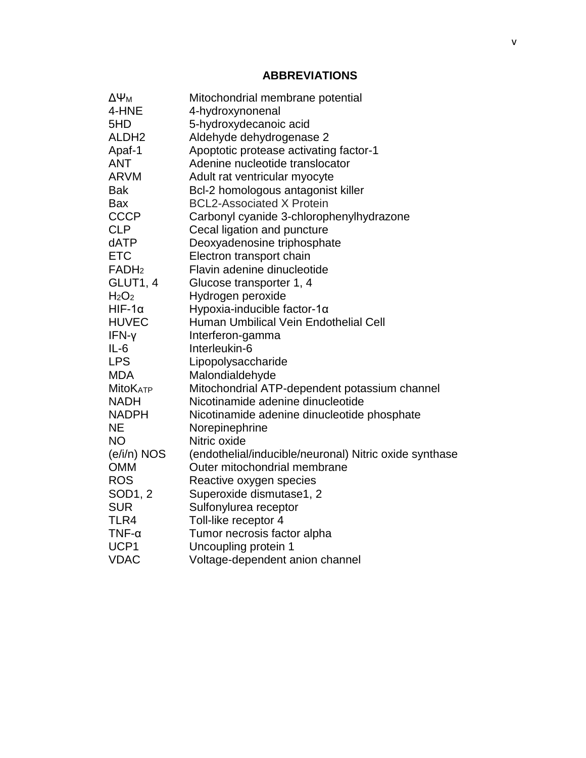### **ABBREVIATIONS**

| $\Delta\Psi_{\mathsf{M}}$     | Mitochondrial membrane potential                       |
|-------------------------------|--------------------------------------------------------|
| 4-HNE                         | 4-hydroxynonenal                                       |
| 5HD                           | 5-hydroxydecanoic acid                                 |
| ALDH <sub>2</sub>             | Aldehyde dehydrogenase 2                               |
| Apaf-1                        | Apoptotic protease activating factor-1                 |
| <b>ANT</b>                    | Adenine nucleotide translocator                        |
| <b>ARVM</b>                   | Adult rat ventricular myocyte                          |
| <b>Bak</b>                    | Bcl-2 homologous antagonist killer                     |
| Bax                           | <b>BCL2-Associated X Protein</b>                       |
| <b>CCCP</b>                   | Carbonyl cyanide 3-chlorophenylhydrazone               |
| <b>CLP</b>                    | Cecal ligation and puncture                            |
| dATP                          | Deoxyadenosine triphosphate                            |
| <b>ETC</b>                    | Electron transport chain                               |
| FADH <sub>2</sub>             | Flavin adenine dinucleotide                            |
| GLUT1, 4                      | Glucose transporter 1, 4                               |
| H <sub>2</sub> O <sub>2</sub> | Hydrogen peroxide                                      |
| $HIF-1\alpha$                 | Hypoxia-inducible factor-1α                            |
| <b>HUVEC</b>                  | Human Umbilical Vein Endothelial Cell                  |
| IFN-y                         | Interferon-gamma                                       |
| $IL-6$                        | Interleukin-6                                          |
| <b>LPS</b>                    | Lipopolysaccharide                                     |
| <b>MDA</b>                    | Malondialdehyde                                        |
| <b>MitoKATP</b>               | Mitochondrial ATP-dependent potassium channel          |
| <b>NADH</b>                   | Nicotinamide adenine dinucleotide                      |
| <b>NADPH</b>                  | Nicotinamide adenine dinucleotide phosphate            |
| <b>NE</b>                     | Norepinephrine                                         |
| <b>NO</b>                     | Nitric oxide                                           |
| $(e/i/n)$ NOS                 | (endothelial/inducible/neuronal) Nitric oxide synthase |
| <b>OMM</b>                    | Outer mitochondrial membrane                           |
| <b>ROS</b>                    | Reactive oxygen species                                |
| SOD1, 2                       | Superoxide dismutase1, 2                               |
| <b>SUR</b>                    | Sulfonylurea receptor                                  |
| TLR4                          | Toll-like receptor 4                                   |
| $TNF$ - $\alpha$              | Tumor necrosis factor alpha                            |
| UCP1                          | Uncoupling protein 1                                   |
| <b>VDAC</b>                   | Voltage-dependent anion channel                        |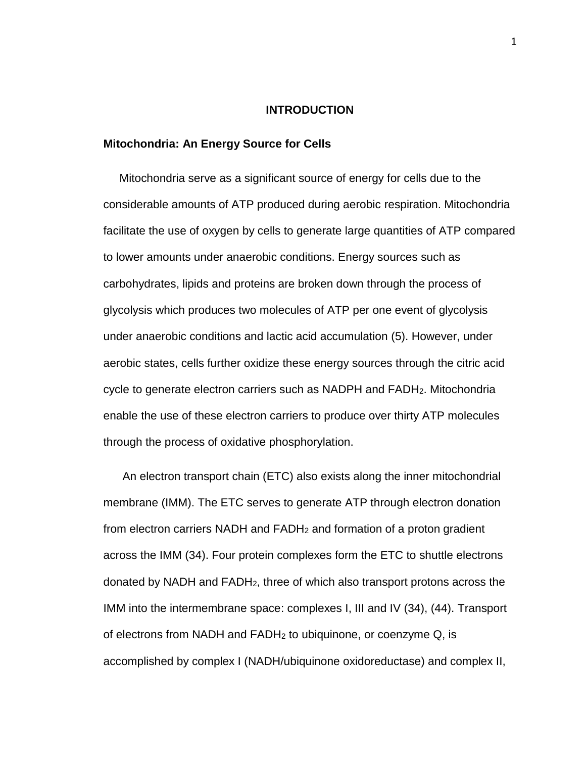### **INTRODUCTION**

### **Mitochondria: An Energy Source for Cells**

 Mitochondria serve as a significant source of energy for cells due to the considerable amounts of ATP produced during aerobic respiration. Mitochondria facilitate the use of oxygen by cells to generate large quantities of ATP compared to lower amounts under anaerobic conditions. Energy sources such as carbohydrates, lipids and proteins are broken down through the process of glycolysis which produces two molecules of ATP per one event of glycolysis under anaerobic conditions and lactic acid accumulation (5). However, under aerobic states, cells further oxidize these energy sources through the citric acid cycle to generate electron carriers such as NADPH and FADH2. Mitochondria enable the use of these electron carriers to produce over thirty ATP molecules through the process of oxidative phosphorylation.

 An electron transport chain (ETC) also exists along the inner mitochondrial membrane (IMM). The ETC serves to generate ATP through electron donation from electron carriers NADH and FADH<sup>2</sup> and formation of a proton gradient across the IMM (34). Four protein complexes form the ETC to shuttle electrons donated by NADH and FADH2, three of which also transport protons across the IMM into the intermembrane space: complexes I, III and IV (34), (44). Transport of electrons from NADH and FADH<sup>2</sup> to ubiquinone, or coenzyme Q, is accomplished by complex I (NADH/ubiquinone oxidoreductase) and complex II,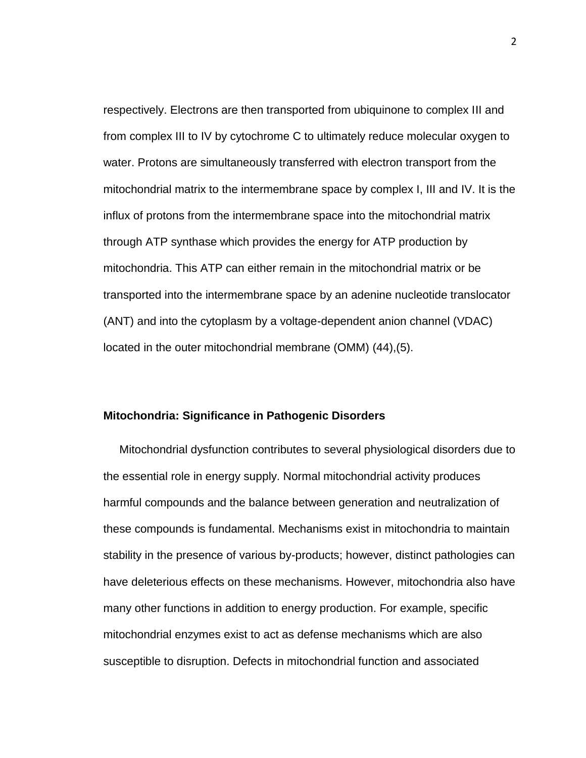respectively. Electrons are then transported from ubiquinone to complex III and from complex III to IV by cytochrome C to ultimately reduce molecular oxygen to water. Protons are simultaneously transferred with electron transport from the mitochondrial matrix to the intermembrane space by complex I, III and IV. It is the influx of protons from the intermembrane space into the mitochondrial matrix through ATP synthase which provides the energy for ATP production by mitochondria. This ATP can either remain in the mitochondrial matrix or be transported into the intermembrane space by an adenine nucleotide translocator (ANT) and into the cytoplasm by a voltage-dependent anion channel (VDAC) located in the outer mitochondrial membrane (OMM) (44),(5).

### **Mitochondria: Significance in Pathogenic Disorders**

 Mitochondrial dysfunction contributes to several physiological disorders due to the essential role in energy supply. Normal mitochondrial activity produces harmful compounds and the balance between generation and neutralization of these compounds is fundamental. Mechanisms exist in mitochondria to maintain stability in the presence of various by-products; however, distinct pathologies can have deleterious effects on these mechanisms. However, mitochondria also have many other functions in addition to energy production. For example, specific mitochondrial enzymes exist to act as defense mechanisms which are also susceptible to disruption. Defects in mitochondrial function and associated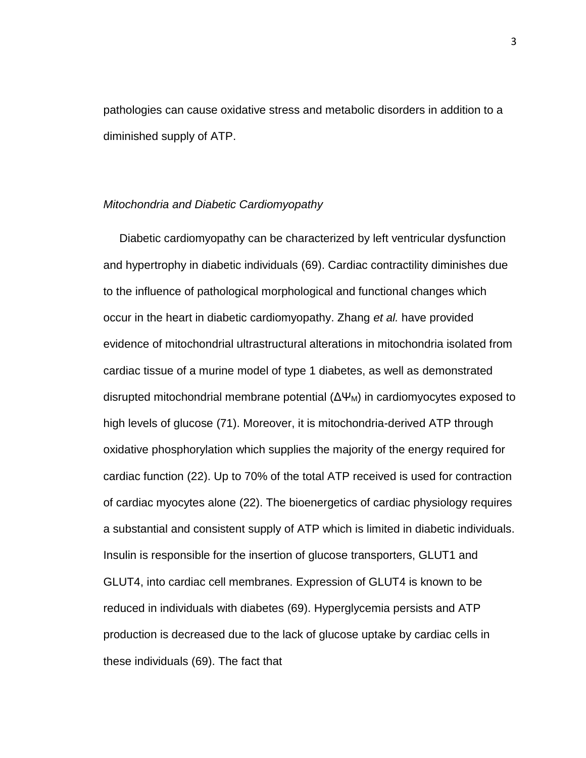pathologies can cause oxidative stress and metabolic disorders in addition to a diminished supply of ATP.

### *Mitochondria and Diabetic Cardiomyopathy*

 Diabetic cardiomyopathy can be characterized by left ventricular dysfunction and hypertrophy in diabetic individuals (69). Cardiac contractility diminishes due to the influence of pathological morphological and functional changes which occur in the heart in diabetic cardiomyopathy. Zhang *et al.* have provided evidence of mitochondrial ultrastructural alterations in mitochondria isolated from cardiac tissue of a murine model of type 1 diabetes, as well as demonstrated disrupted mitochondrial membrane potential  $(\Delta \Psi_M)$  in cardiomyocytes exposed to high levels of glucose (71). Moreover, it is mitochondria-derived ATP through oxidative phosphorylation which supplies the majority of the energy required for cardiac function (22). Up to 70% of the total ATP received is used for contraction of cardiac myocytes alone (22). The bioenergetics of cardiac physiology requires a substantial and consistent supply of ATP which is limited in diabetic individuals. Insulin is responsible for the insertion of glucose transporters, GLUT1 and GLUT4, into cardiac cell membranes. Expression of GLUT4 is known to be reduced in individuals with diabetes (69). Hyperglycemia persists and ATP production is decreased due to the lack of glucose uptake by cardiac cells in these individuals (69). The fact that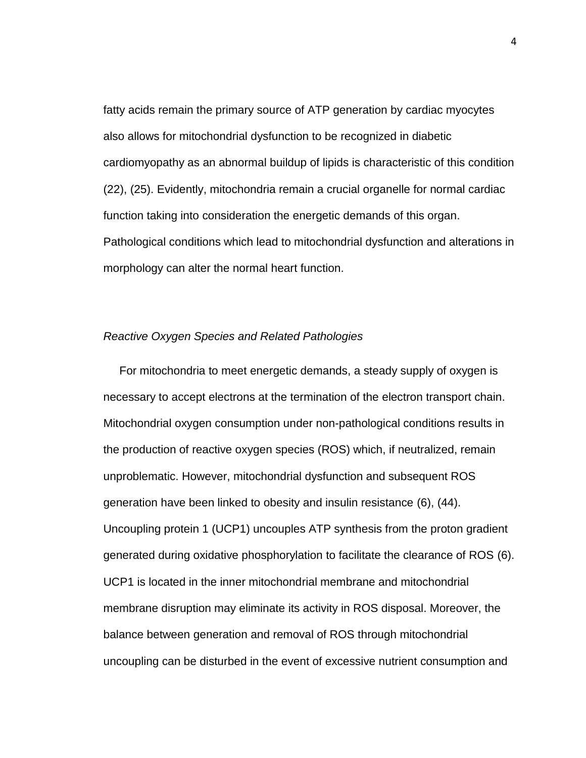fatty acids remain the primary source of ATP generation by cardiac myocytes also allows for mitochondrial dysfunction to be recognized in diabetic cardiomyopathy as an abnormal buildup of lipids is characteristic of this condition (22), (25). Evidently, mitochondria remain a crucial organelle for normal cardiac function taking into consideration the energetic demands of this organ. Pathological conditions which lead to mitochondrial dysfunction and alterations in morphology can alter the normal heart function.

### *Reactive Oxygen Species and Related Pathologies*

 For mitochondria to meet energetic demands, a steady supply of oxygen is necessary to accept electrons at the termination of the electron transport chain. Mitochondrial oxygen consumption under non-pathological conditions results in the production of reactive oxygen species (ROS) which, if neutralized, remain unproblematic. However, mitochondrial dysfunction and subsequent ROS generation have been linked to obesity and insulin resistance (6), (44). Uncoupling protein 1 (UCP1) uncouples ATP synthesis from the proton gradient generated during oxidative phosphorylation to facilitate the clearance of ROS (6). UCP1 is located in the inner mitochondrial membrane and mitochondrial membrane disruption may eliminate its activity in ROS disposal. Moreover, the balance between generation and removal of ROS through mitochondrial uncoupling can be disturbed in the event of excessive nutrient consumption and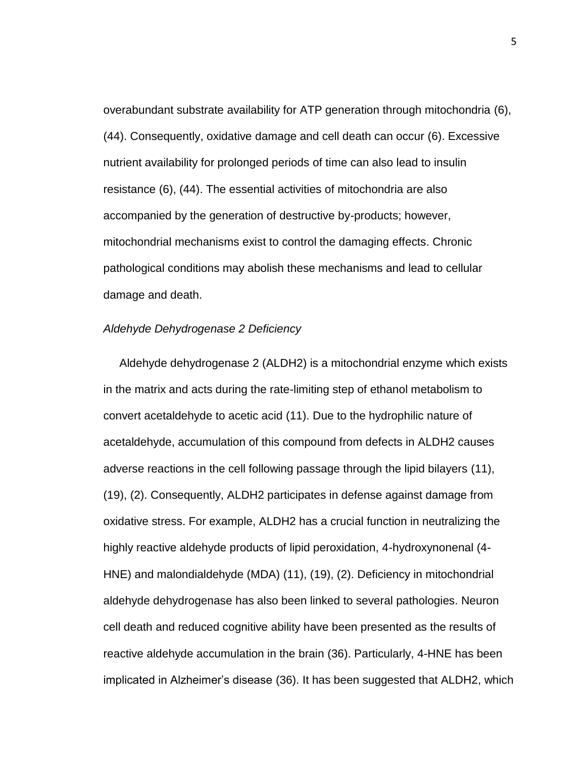overabundant substrate availability for ATP generation through mitochondria (6), (44). Consequently, oxidative damage and cell death can occur (6). Excessive nutrient availability for prolonged periods of time can also lead to insulin resistance (6), (44). The essential activities of mitochondria are also accompanied by the generation of destructive by-products; however, mitochondrial mechanisms exist to control the damaging effects. Chronic pathological conditions may abolish these mechanisms and lead to cellular damage and death.

### *Aldehyde Dehydrogenase 2 Deficiency*

 Aldehyde dehydrogenase 2 (ALDH2) is a mitochondrial enzyme which exists in the matrix and acts during the rate-limiting step of ethanol metabolism to convert acetaldehyde to acetic acid (11). Due to the hydrophilic nature of acetaldehyde, accumulation of this compound from defects in ALDH2 causes adverse reactions in the cell following passage through the lipid bilayers (11), (19), (2). Consequently, ALDH2 participates in defense against damage from oxidative stress. For example, ALDH2 has a crucial function in neutralizing the highly reactive aldehyde products of lipid peroxidation, 4-hydroxynonenal (4- HNE) and malondialdehyde (MDA) (11), (19), (2). Deficiency in mitochondrial aldehyde dehydrogenase has also been linked to several pathologies. Neuron cell death and reduced cognitive ability have been presented as the results of reactive aldehyde accumulation in the brain (36). Particularly, 4-HNE has been implicated in Alzheimer's disease (36). It has been suggested that ALDH2, which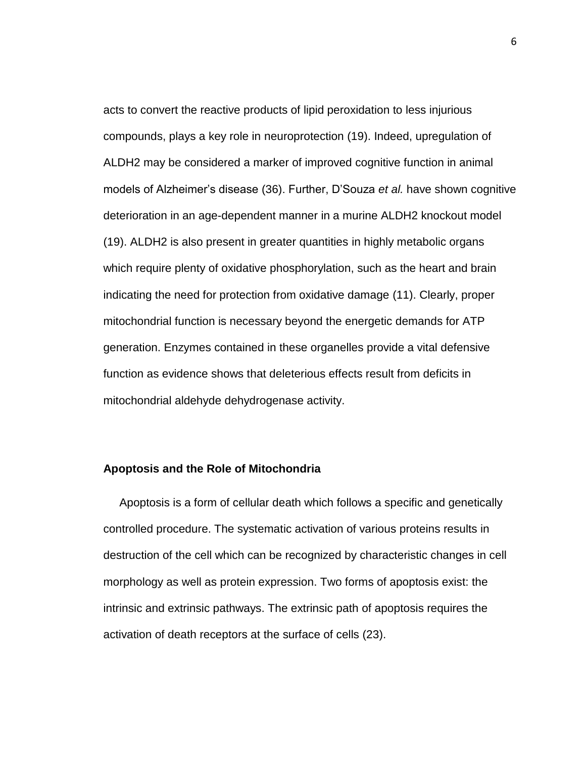acts to convert the reactive products of lipid peroxidation to less injurious compounds, plays a key role in neuroprotection (19). Indeed, upregulation of ALDH2 may be considered a marker of improved cognitive function in animal models of Alzheimer's disease (36). Further, D'Souza *et al.* have shown cognitive deterioration in an age-dependent manner in a murine ALDH2 knockout model (19). ALDH2 is also present in greater quantities in highly metabolic organs which require plenty of oxidative phosphorylation, such as the heart and brain indicating the need for protection from oxidative damage (11). Clearly, proper mitochondrial function is necessary beyond the energetic demands for ATP generation. Enzymes contained in these organelles provide a vital defensive function as evidence shows that deleterious effects result from deficits in mitochondrial aldehyde dehydrogenase activity.

### **Apoptosis and the Role of Mitochondria**

 Apoptosis is a form of cellular death which follows a specific and genetically controlled procedure. The systematic activation of various proteins results in destruction of the cell which can be recognized by characteristic changes in cell morphology as well as protein expression. Two forms of apoptosis exist: the intrinsic and extrinsic pathways. The extrinsic path of apoptosis requires the activation of death receptors at the surface of cells (23).

6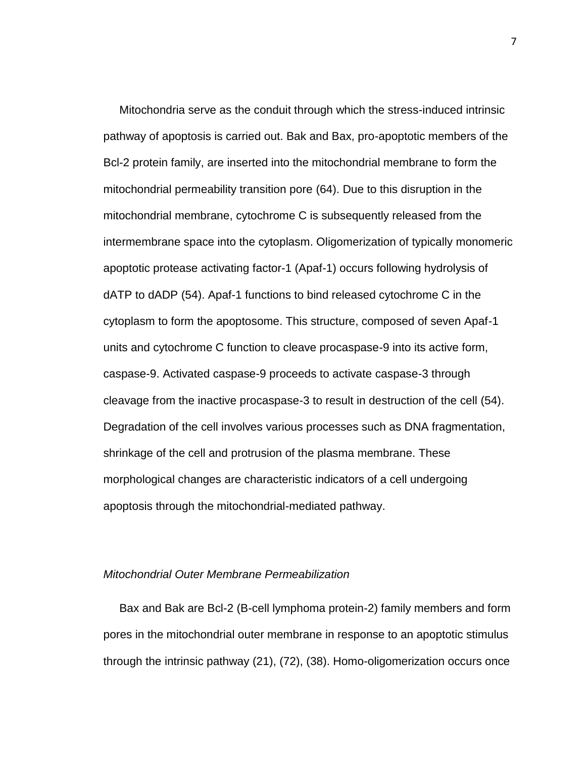Mitochondria serve as the conduit through which the stress-induced intrinsic pathway of apoptosis is carried out. Bak and Bax, pro-apoptotic members of the Bcl-2 protein family, are inserted into the mitochondrial membrane to form the mitochondrial permeability transition pore (64). Due to this disruption in the mitochondrial membrane, cytochrome C is subsequently released from the intermembrane space into the cytoplasm. Oligomerization of typically monomeric apoptotic protease activating factor-1 (Apaf-1) occurs following hydrolysis of dATP to dADP (54). Apaf-1 functions to bind released cytochrome C in the cytoplasm to form the apoptosome. This structure, composed of seven Apaf-1 units and cytochrome C function to cleave procaspase-9 into its active form, caspase-9. Activated caspase-9 proceeds to activate caspase-3 through cleavage from the inactive procaspase-3 to result in destruction of the cell (54). Degradation of the cell involves various processes such as DNA fragmentation, shrinkage of the cell and protrusion of the plasma membrane. These morphological changes are characteristic indicators of a cell undergoing apoptosis through the mitochondrial-mediated pathway.

### *Mitochondrial Outer Membrane Permeabilization*

Bax and Bak are Bcl-2 (B-cell lymphoma protein-2) family members and form pores in the mitochondrial outer membrane in response to an apoptotic stimulus through the intrinsic pathway (21), (72), (38). Homo-oligomerization occurs once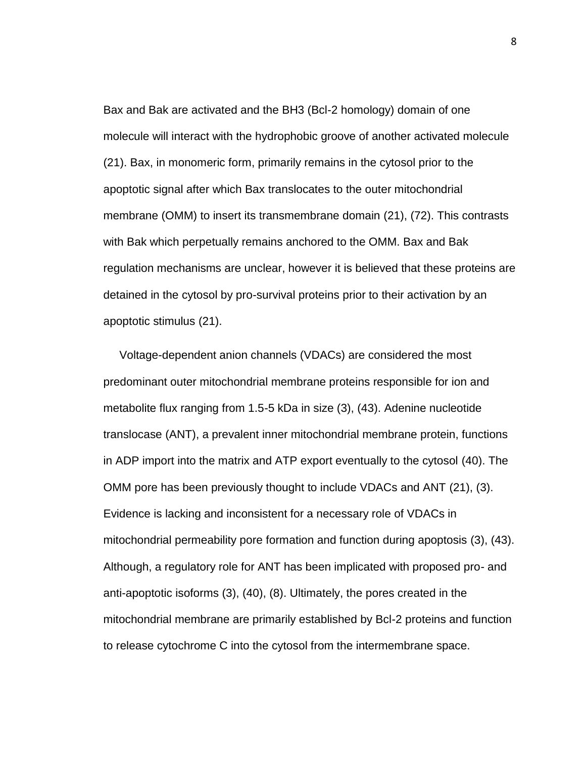Bax and Bak are activated and the BH3 (Bcl-2 homology) domain of one molecule will interact with the hydrophobic groove of another activated molecule (21). Bax, in monomeric form, primarily remains in the cytosol prior to the apoptotic signal after which Bax translocates to the outer mitochondrial membrane (OMM) to insert its transmembrane domain (21), (72). This contrasts with Bak which perpetually remains anchored to the OMM. Bax and Bak regulation mechanisms are unclear, however it is believed that these proteins are detained in the cytosol by pro-survival proteins prior to their activation by an apoptotic stimulus (21).

 Voltage-dependent anion channels (VDACs) are considered the most predominant outer mitochondrial membrane proteins responsible for ion and metabolite flux ranging from 1.5-5 kDa in size (3), (43). Adenine nucleotide translocase (ANT), a prevalent inner mitochondrial membrane protein, functions in ADP import into the matrix and ATP export eventually to the cytosol (40). The OMM pore has been previously thought to include VDACs and ANT (21), (3). Evidence is lacking and inconsistent for a necessary role of VDACs in mitochondrial permeability pore formation and function during apoptosis (3), (43). Although, a regulatory role for ANT has been implicated with proposed pro- and anti-apoptotic isoforms (3), (40), (8). Ultimately, the pores created in the mitochondrial membrane are primarily established by Bcl-2 proteins and function to release cytochrome C into the cytosol from the intermembrane space.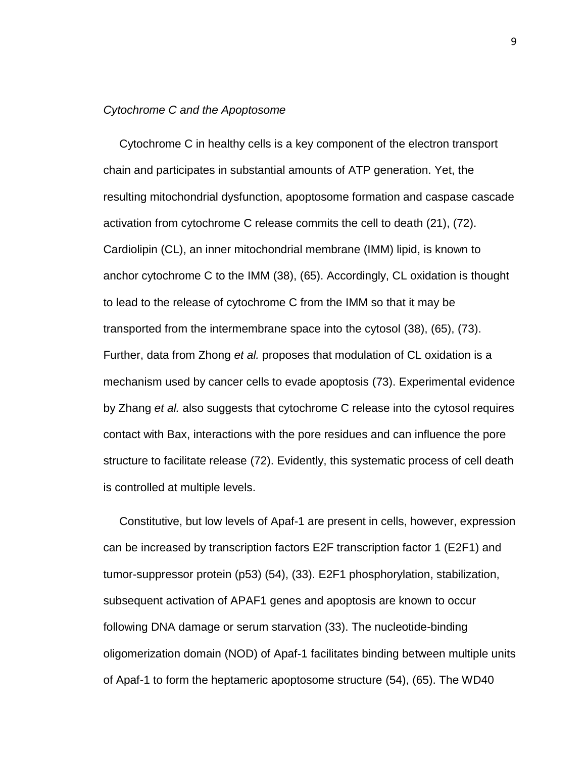### *Cytochrome C and the Apoptosome*

 Cytochrome C in healthy cells is a key component of the electron transport chain and participates in substantial amounts of ATP generation. Yet, the resulting mitochondrial dysfunction, apoptosome formation and caspase cascade activation from cytochrome C release commits the cell to death (21), (72). Cardiolipin (CL), an inner mitochondrial membrane (IMM) lipid, is known to anchor cytochrome C to the IMM (38), (65). Accordingly, CL oxidation is thought to lead to the release of cytochrome C from the IMM so that it may be transported from the intermembrane space into the cytosol (38), (65), (73). Further, data from Zhong *et al.* proposes that modulation of CL oxidation is a mechanism used by cancer cells to evade apoptosis (73). Experimental evidence by Zhang *et al.* also suggests that cytochrome C release into the cytosol requires contact with Bax, interactions with the pore residues and can influence the pore structure to facilitate release (72). Evidently, this systematic process of cell death is controlled at multiple levels.

 Constitutive, but low levels of Apaf-1 are present in cells, however, expression can be increased by transcription factors E2F transcription factor 1 (E2F1) and tumor-suppressor protein (p53) (54), (33). E2F1 phosphorylation, stabilization, subsequent activation of APAF1 genes and apoptosis are known to occur following DNA damage or serum starvation (33). The nucleotide-binding oligomerization domain (NOD) of Apaf-1 facilitates binding between multiple units of Apaf-1 to form the heptameric apoptosome structure (54), (65). The WD40

9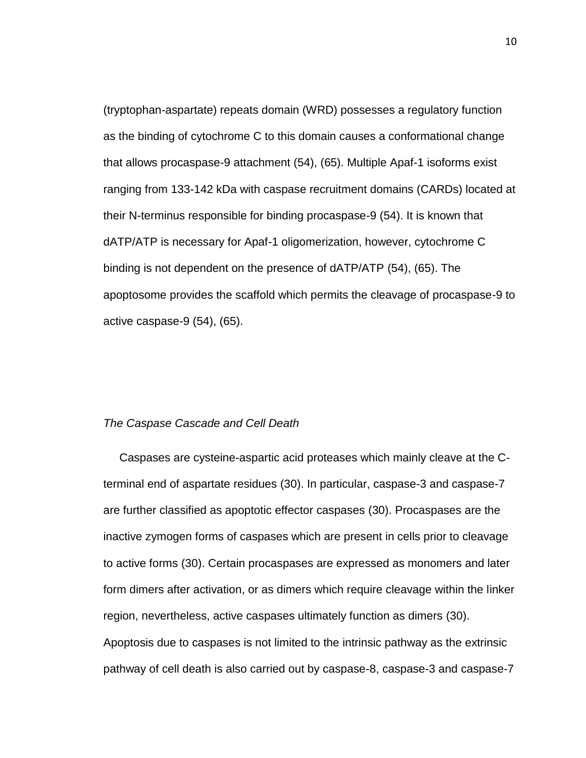(tryptophan-aspartate) repeats domain (WRD) possesses a regulatory function as the binding of cytochrome C to this domain causes a conformational change that allows procaspase-9 attachment (54), (65). Multiple Apaf-1 isoforms exist ranging from 133-142 kDa with caspase recruitment domains (CARDs) located at their N-terminus responsible for binding procaspase-9 (54). It is known that dATP/ATP is necessary for Apaf-1 oligomerization, however, cytochrome C binding is not dependent on the presence of dATP/ATP (54), (65). The apoptosome provides the scaffold which permits the cleavage of procaspase-9 to active caspase-9 (54), (65).

### *The Caspase Cascade and Cell Death*

 Caspases are cysteine-aspartic acid proteases which mainly cleave at the Cterminal end of aspartate residues (30). In particular, caspase-3 and caspase-7 are further classified as apoptotic effector caspases (30). Procaspases are the inactive zymogen forms of caspases which are present in cells prior to cleavage to active forms (30). Certain procaspases are expressed as monomers and later form dimers after activation, or as dimers which require cleavage within the linker region, nevertheless, active caspases ultimately function as dimers (30). Apoptosis due to caspases is not limited to the intrinsic pathway as the extrinsic pathway of cell death is also carried out by caspase-8, caspase-3 and caspase-7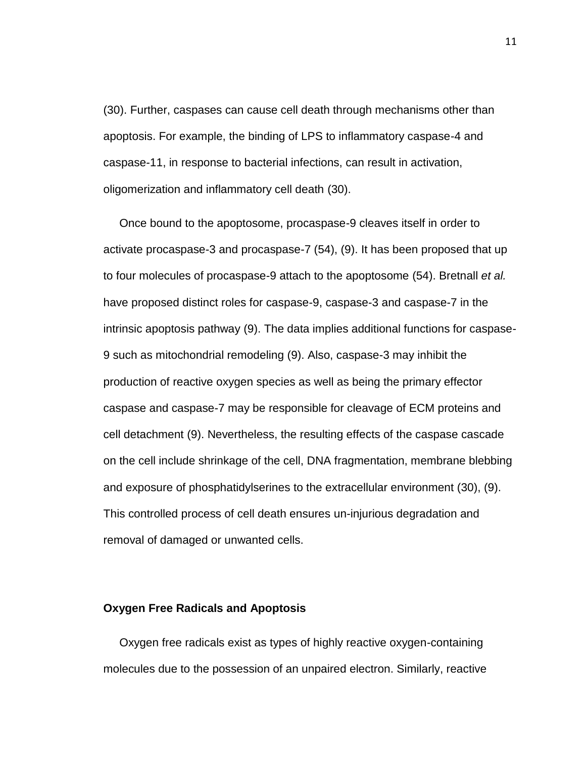(30). Further, caspases can cause cell death through mechanisms other than apoptosis. For example, the binding of LPS to inflammatory caspase-4 and caspase-11, in response to bacterial infections, can result in activation, oligomerization and inflammatory cell death (30).

 Once bound to the apoptosome, procaspase-9 cleaves itself in order to activate procaspase-3 and procaspase-7 (54), (9). It has been proposed that up to four molecules of procaspase-9 attach to the apoptosome (54). Bretnall *et al.* have proposed distinct roles for caspase-9, caspase-3 and caspase-7 in the intrinsic apoptosis pathway (9). The data implies additional functions for caspase-9 such as mitochondrial remodeling (9). Also, caspase-3 may inhibit the production of reactive oxygen species as well as being the primary effector caspase and caspase-7 may be responsible for cleavage of ECM proteins and cell detachment (9). Nevertheless, the resulting effects of the caspase cascade on the cell include shrinkage of the cell, DNA fragmentation, membrane blebbing and exposure of phosphatidylserines to the extracellular environment (30), (9). This controlled process of cell death ensures un-injurious degradation and removal of damaged or unwanted cells.

### **Oxygen Free Radicals and Apoptosis**

 Oxygen free radicals exist as types of highly reactive oxygen-containing molecules due to the possession of an unpaired electron. Similarly, reactive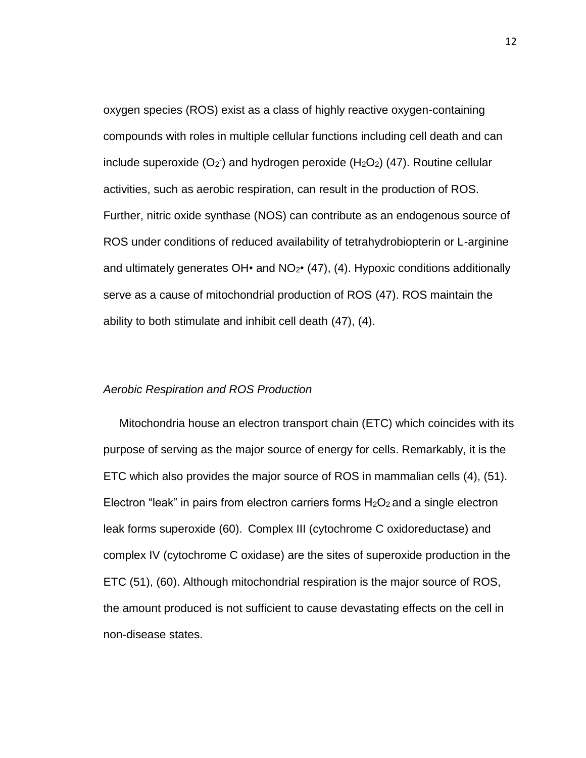oxygen species (ROS) exist as a class of highly reactive oxygen-containing compounds with roles in multiple cellular functions including cell death and can include superoxide  $(O_2)$  and hydrogen peroxide  $(H_2O_2)$  (47). Routine cellular activities, such as aerobic respiration, can result in the production of ROS. Further, nitric oxide synthase (NOS) can contribute as an endogenous source of ROS under conditions of reduced availability of tetrahydrobiopterin or L-arginine and ultimately generates  $OH\cdot$  and  $NO<sub>2</sub>\cdot$  (47), (4). Hypoxic conditions additionally serve as a cause of mitochondrial production of ROS (47). ROS maintain the ability to both stimulate and inhibit cell death (47), (4).

### *Aerobic Respiration and ROS Production*

 Mitochondria house an electron transport chain (ETC) which coincides with its purpose of serving as the major source of energy for cells. Remarkably, it is the ETC which also provides the major source of ROS in mammalian cells (4), (51). Electron "leak" in pairs from electron carriers forms  $H_2O_2$  and a single electron leak forms superoxide (60). Complex III (cytochrome C oxidoreductase) and complex IV (cytochrome C oxidase) are the sites of superoxide production in the ETC (51), (60). Although mitochondrial respiration is the major source of ROS, the amount produced is not sufficient to cause devastating effects on the cell in non-disease states.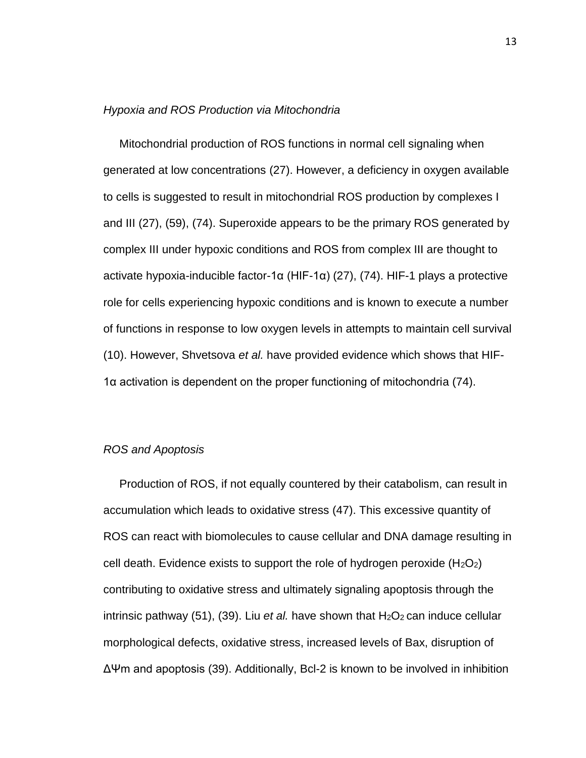### *Hypoxia and ROS Production via Mitochondria*

 Mitochondrial production of ROS functions in normal cell signaling when generated at low concentrations (27). However, a deficiency in oxygen available to cells is suggested to result in mitochondrial ROS production by complexes I and III (27), (59), (74). Superoxide appears to be the primary ROS generated by complex III under hypoxic conditions and ROS from complex III are thought to activate hypoxia-inducible factor-1α (HIF-1α) (27), (74). HIF-1 plays a protective role for cells experiencing hypoxic conditions and is known to execute a number of functions in response to low oxygen levels in attempts to maintain cell survival (10). However, Shvetsova *et al.* have provided evidence which shows that HIF-1α activation is dependent on the proper functioning of mitochondria (74).

### *ROS and Apoptosis*

 Production of ROS, if not equally countered by their catabolism, can result in accumulation which leads to oxidative stress (47). This excessive quantity of ROS can react with biomolecules to cause cellular and DNA damage resulting in cell death. Evidence exists to support the role of hydrogen peroxide  $(H_2O_2)$ contributing to oxidative stress and ultimately signaling apoptosis through the intrinsic pathway (51), (39). Liu *et al.* have shown that  $H_2O_2$  can induce cellular morphological defects, oxidative stress, increased levels of Bax, disruption of ΔΨm and apoptosis (39). Additionally, Bcl-2 is known to be involved in inhibition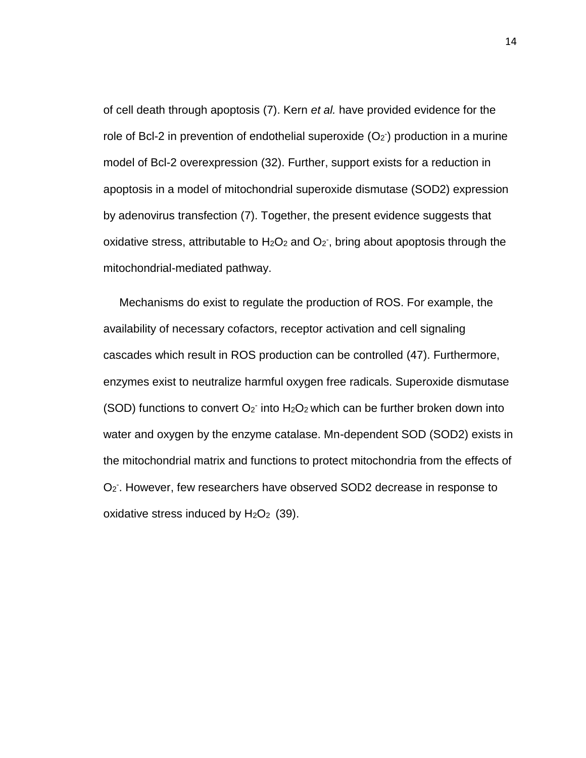of cell death through apoptosis (7). Kern *et al.* have provided evidence for the role of Bcl-2 in prevention of endothelial superoxide  $(O_2)$  production in a murine model of Bcl-2 overexpression (32). Further, support exists for a reduction in apoptosis in a model of mitochondrial superoxide dismutase (SOD2) expression by adenovirus transfection (7). Together, the present evidence suggests that oxidative stress, attributable to  $H_2O_2$  and  $O_2$ , bring about apoptosis through the mitochondrial-mediated pathway.

 Mechanisms do exist to regulate the production of ROS. For example, the availability of necessary cofactors, receptor activation and cell signaling cascades which result in ROS production can be controlled (47). Furthermore, enzymes exist to neutralize harmful oxygen free radicals. Superoxide dismutase (SOD) functions to convert  $O_2$  into  $H_2O_2$  which can be further broken down into water and oxygen by the enzyme catalase. Mn-dependent SOD (SOD2) exists in the mitochondrial matrix and functions to protect mitochondria from the effects of O<sub>2</sub>. However, few researchers have observed SOD2 decrease in response to oxidative stress induced by  $H_2O_2$  (39).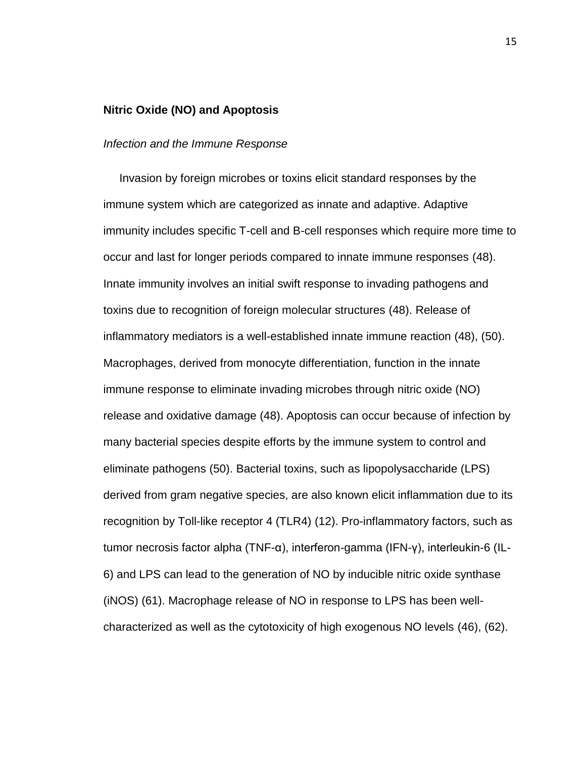### **Nitric Oxide (NO) and Apoptosis**

### *Infection and the Immune Response*

 Invasion by foreign microbes or toxins elicit standard responses by the immune system which are categorized as innate and adaptive. Adaptive immunity includes specific T-cell and B-cell responses which require more time to occur and last for longer periods compared to innate immune responses (48). Innate immunity involves an initial swift response to invading pathogens and toxins due to recognition of foreign molecular structures (48). Release of inflammatory mediators is a well-established innate immune reaction (48), (50). Macrophages, derived from monocyte differentiation, function in the innate immune response to eliminate invading microbes through nitric oxide (NO) release and oxidative damage (48). Apoptosis can occur because of infection by many bacterial species despite efforts by the immune system to control and eliminate pathogens (50). Bacterial toxins, such as lipopolysaccharide (LPS) derived from gram negative species, are also known elicit inflammation due to its recognition by Toll-like receptor 4 (TLR4) (12). Pro-inflammatory factors, such as tumor necrosis factor alpha (TNF-α), interferon-gamma (IFN-γ), interleukin-6 (IL-6) and LPS can lead to the generation of NO by inducible nitric oxide synthase (iNOS) (61). Macrophage release of NO in response to LPS has been wellcharacterized as well as the cytotoxicity of high exogenous NO levels (46), (62).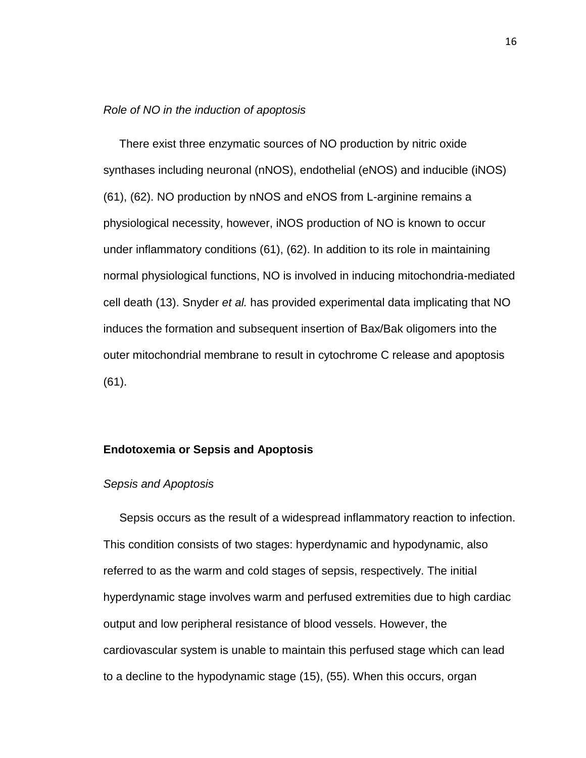### *Role of NO in the induction of apoptosis*

 There exist three enzymatic sources of NO production by nitric oxide synthases including neuronal (nNOS), endothelial (eNOS) and inducible (iNOS) (61), (62). NO production by nNOS and eNOS from L-arginine remains a physiological necessity, however, iNOS production of NO is known to occur under inflammatory conditions (61), (62). In addition to its role in maintaining normal physiological functions, NO is involved in inducing mitochondria-mediated cell death (13). Snyder *et al.* has provided experimental data implicating that NO induces the formation and subsequent insertion of Bax/Bak oligomers into the outer mitochondrial membrane to result in cytochrome C release and apoptosis (61).

### **Endotoxemia or Sepsis and Apoptosis**

### *Sepsis and Apoptosis*

 Sepsis occurs as the result of a widespread inflammatory reaction to infection. This condition consists of two stages: hyperdynamic and hypodynamic, also referred to as the warm and cold stages of sepsis, respectively. The initial hyperdynamic stage involves warm and perfused extremities due to high cardiac output and low peripheral resistance of blood vessels. However, the cardiovascular system is unable to maintain this perfused stage which can lead to a decline to the hypodynamic stage (15), (55). When this occurs, organ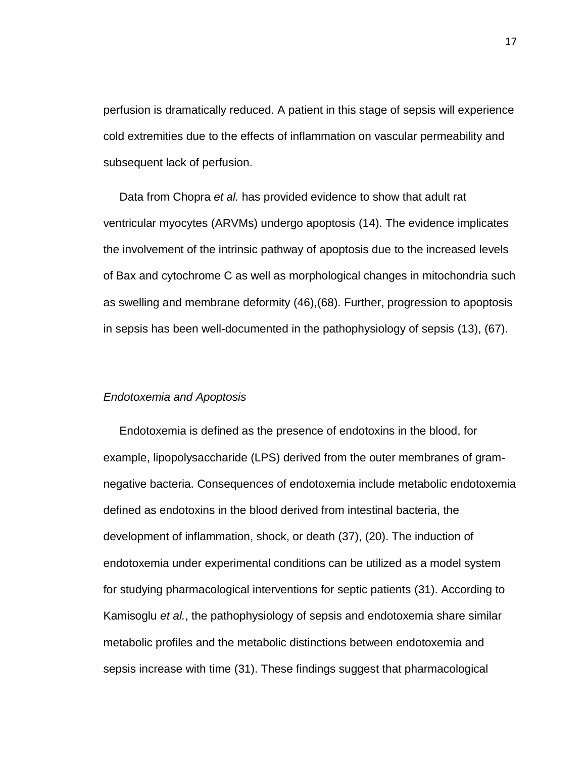perfusion is dramatically reduced. A patient in this stage of sepsis will experience cold extremities due to the effects of inflammation on vascular permeability and subsequent lack of perfusion.

 Data from Chopra *et al.* has provided evidence to show that adult rat ventricular myocytes (ARVMs) undergo apoptosis (14). The evidence implicates the involvement of the intrinsic pathway of apoptosis due to the increased levels of Bax and cytochrome C as well as morphological changes in mitochondria such as swelling and membrane deformity (46),(68). Further, progression to apoptosis in sepsis has been well-documented in the pathophysiology of sepsis (13), (67).

### *Endotoxemia and Apoptosis*

 Endotoxemia is defined as the presence of endotoxins in the blood, for example, lipopolysaccharide (LPS) derived from the outer membranes of gramnegative bacteria. Consequences of endotoxemia include metabolic endotoxemia defined as endotoxins in the blood derived from intestinal bacteria, the development of inflammation, shock, or death (37), (20). The induction of endotoxemia under experimental conditions can be utilized as a model system for studying pharmacological interventions for septic patients (31). According to Kamisoglu *et al.*, the pathophysiology of sepsis and endotoxemia share similar metabolic profiles and the metabolic distinctions between endotoxemia and sepsis increase with time (31). These findings suggest that pharmacological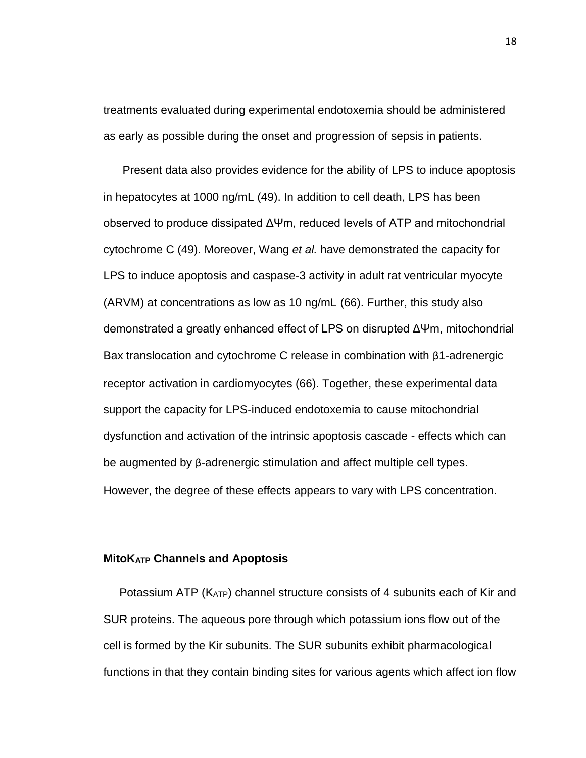treatments evaluated during experimental endotoxemia should be administered as early as possible during the onset and progression of sepsis in patients.

 Present data also provides evidence for the ability of LPS to induce apoptosis in hepatocytes at 1000 ng/mL (49). In addition to cell death, LPS has been observed to produce dissipated ΔΨm, reduced levels of ATP and mitochondrial cytochrome C (49). Moreover, Wang *et al.* have demonstrated the capacity for LPS to induce apoptosis and caspase-3 activity in adult rat ventricular myocyte (ARVM) at concentrations as low as 10 ng/mL (66). Further, this study also demonstrated a greatly enhanced effect of LPS on disrupted ΔΨm, mitochondrial Bax translocation and cytochrome C release in combination with β1-adrenergic receptor activation in cardiomyocytes (66). Together, these experimental data support the capacity for LPS-induced endotoxemia to cause mitochondrial dysfunction and activation of the intrinsic apoptosis cascade - effects which can be augmented by β-adrenergic stimulation and affect multiple cell types. However, the degree of these effects appears to vary with LPS concentration.

### **MitoKATP Channels and Apoptosis**

 Potassium ATP (KATP) channel structure consists of 4 subunits each of Kir and SUR proteins. The aqueous pore through which potassium ions flow out of the cell is formed by the Kir subunits. The SUR subunits exhibit pharmacological functions in that they contain binding sites for various agents which affect ion flow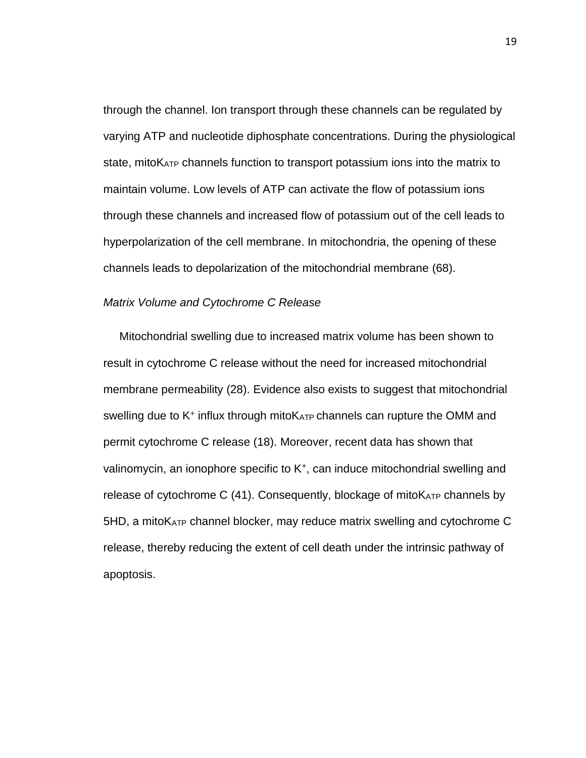through the channel. Ion transport through these channels can be regulated by varying ATP and nucleotide diphosphate concentrations. During the physiological state, mito K<sub>ATP</sub> channels function to transport potassium ions into the matrix to maintain volume. Low levels of ATP can activate the flow of potassium ions through these channels and increased flow of potassium out of the cell leads to hyperpolarization of the cell membrane. In mitochondria, the opening of these channels leads to depolarization of the mitochondrial membrane (68).

### *Matrix Volume and Cytochrome C Release*

 Mitochondrial swelling due to increased matrix volume has been shown to result in cytochrome C release without the need for increased mitochondrial membrane permeability (28). Evidence also exists to suggest that mitochondrial swelling due to  $K^+$  influx through mito $K_{ATP}$  channels can rupture the OMM and permit cytochrome C release (18). Moreover, recent data has shown that valinomycin, an ionophore specific to K<sup>+</sup>, can induce mitochondrial swelling and release of cytochrome C  $(41)$ . Consequently, blockage of mito $K_{ATP}$  channels by 5HD, a mitoKATP channel blocker, may reduce matrix swelling and cytochrome C release, thereby reducing the extent of cell death under the intrinsic pathway of apoptosis.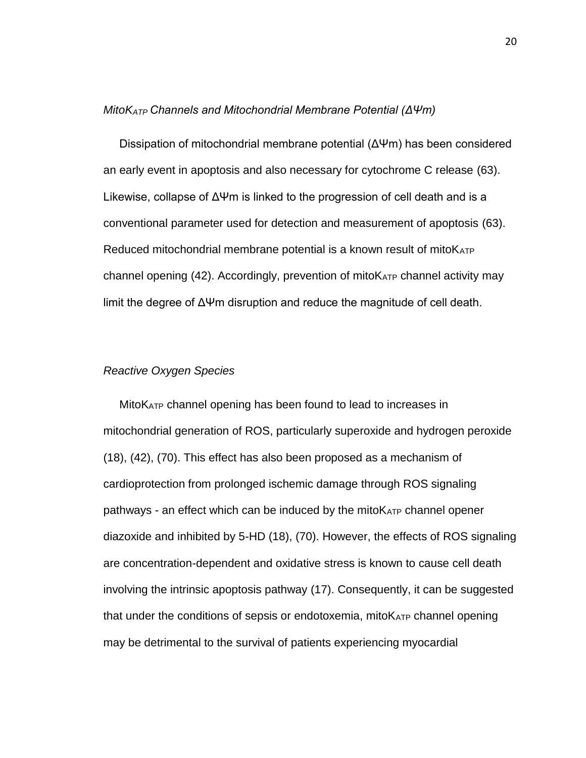### *MitoKATP Channels and Mitochondrial Membrane Potential (ΔΨm)*

 Dissipation of mitochondrial membrane potential (ΔΨm) has been considered an early event in apoptosis and also necessary for cytochrome C release (63). Likewise, collapse of ΔΨm is linked to the progression of cell death and is a conventional parameter used for detection and measurement of apoptosis (63). Reduced mitochondrial membrane potential is a known result of mito $K_{ATP}$ channel opening  $(42)$ . Accordingly, prevention of mito $K_{ATP}$  channel activity may limit the degree of ΔΨm disruption and reduce the magnitude of cell death.

### *Reactive Oxygen Species*

 MitoKATP channel opening has been found to lead to increases in mitochondrial generation of ROS, particularly superoxide and hydrogen peroxide (18), (42), (70). This effect has also been proposed as a mechanism of cardioprotection from prolonged ischemic damage through ROS signaling pathways - an effect which can be induced by the mitoKATP channel opener diazoxide and inhibited by 5-HD (18), (70). However, the effects of ROS signaling are concentration-dependent and oxidative stress is known to cause cell death involving the intrinsic apoptosis pathway (17). Consequently, it can be suggested that under the conditions of sepsis or endotoxemia, mito $K_{ATP}$  channel opening may be detrimental to the survival of patients experiencing myocardial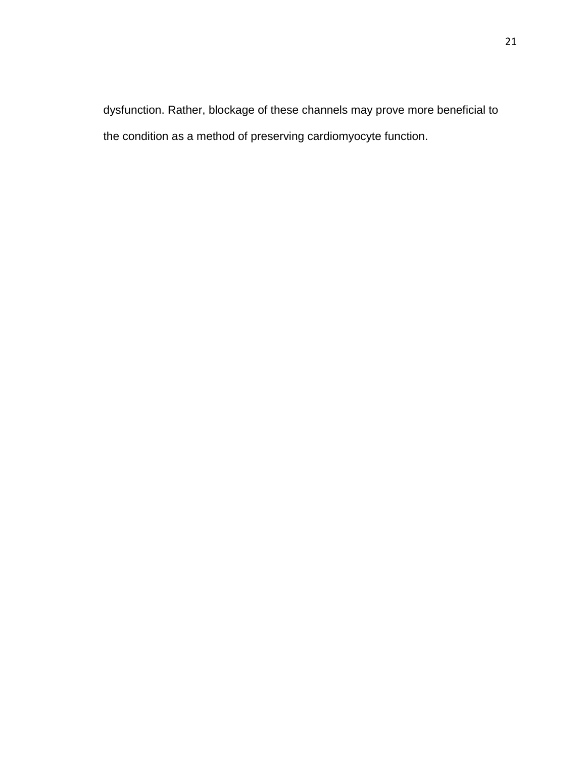dysfunction. Rather, blockage of these channels may prove more beneficial to the condition as a method of preserving cardiomyocyte function.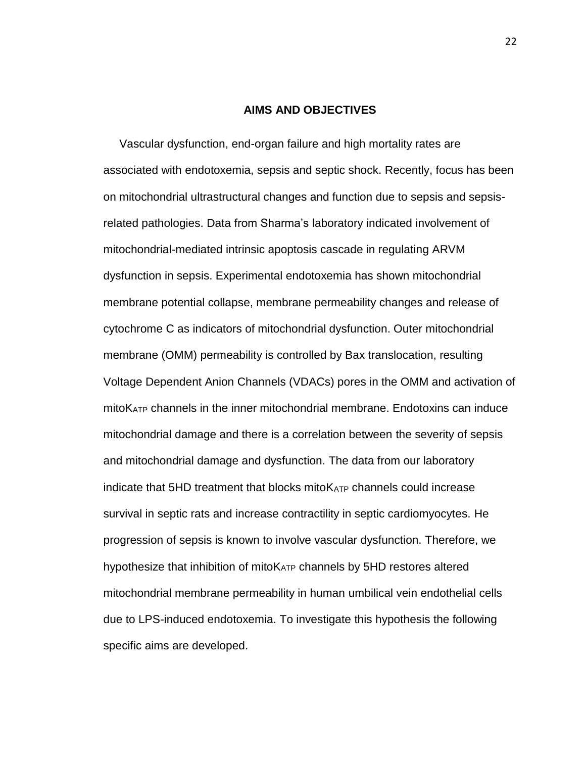### **AIMS AND OBJECTIVES**

 Vascular dysfunction, end-organ failure and high mortality rates are associated with endotoxemia, sepsis and septic shock. Recently, focus has been on mitochondrial ultrastructural changes and function due to sepsis and sepsisrelated pathologies. Data from Sharma's laboratory indicated involvement of mitochondrial-mediated intrinsic apoptosis cascade in regulating ARVM dysfunction in sepsis. Experimental endotoxemia has shown mitochondrial membrane potential collapse, membrane permeability changes and release of cytochrome C as indicators of mitochondrial dysfunction. Outer mitochondrial membrane (OMM) permeability is controlled by Bax translocation, resulting Voltage Dependent Anion Channels (VDACs) pores in the OMM and activation of mitoKATP channels in the inner mitochondrial membrane. Endotoxins can induce mitochondrial damage and there is a correlation between the severity of sepsis and mitochondrial damage and dysfunction. The data from our laboratory indicate that  $5HD$  treatment that blocks mito $K_{ATP}$  channels could increase survival in septic rats and increase contractility in septic cardiomyocytes. He progression of sepsis is known to involve vascular dysfunction. Therefore, we hypothesize that inhibition of mitoK<sub>ATP</sub> channels by 5HD restores altered mitochondrial membrane permeability in human umbilical vein endothelial cells due to LPS-induced endotoxemia. To investigate this hypothesis the following specific aims are developed.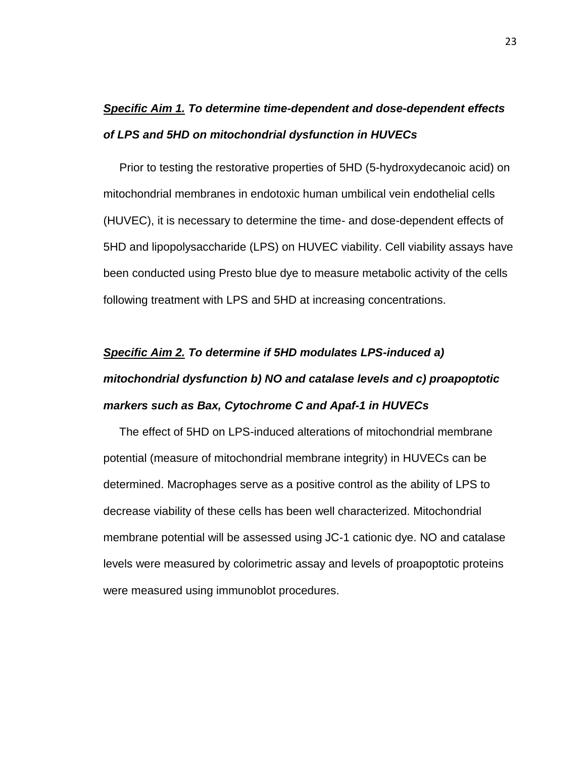# *Specific Aim 1. To determine time-dependent and dose-dependent effects of LPS and 5HD on mitochondrial dysfunction in HUVECs*

 Prior to testing the restorative properties of 5HD (5-hydroxydecanoic acid) on mitochondrial membranes in endotoxic human umbilical vein endothelial cells (HUVEC), it is necessary to determine the time- and dose-dependent effects of 5HD and lipopolysaccharide (LPS) on HUVEC viability. Cell viability assays have been conducted using Presto blue dye to measure metabolic activity of the cells following treatment with LPS and 5HD at increasing concentrations.

# *Specific Aim 2. To determine if 5HD modulates LPS-induced a) mitochondrial dysfunction b) NO and catalase levels and c) proapoptotic markers such as Bax, Cytochrome C and Apaf-1 in HUVECs*

 The effect of 5HD on LPS-induced alterations of mitochondrial membrane potential (measure of mitochondrial membrane integrity) in HUVECs can be determined. Macrophages serve as a positive control as the ability of LPS to decrease viability of these cells has been well characterized. Mitochondrial membrane potential will be assessed using JC-1 cationic dye. NO and catalase levels were measured by colorimetric assay and levels of proapoptotic proteins were measured using immunoblot procedures.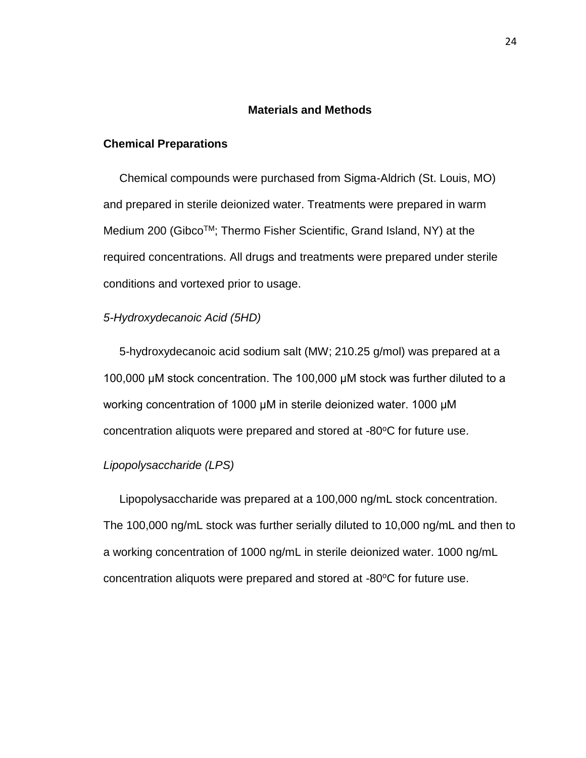### **Materials and Methods**

### **Chemical Preparations**

 Chemical compounds were purchased from Sigma-Aldrich (St. Louis, MO) and prepared in sterile deionized water. Treatments were prepared in warm Medium 200 (Gibco™; Thermo Fisher Scientific, Grand Island, NY) at the required concentrations. All drugs and treatments were prepared under sterile conditions and vortexed prior to usage.

### *5-Hydroxydecanoic Acid (5HD)*

 5-hydroxydecanoic acid sodium salt (MW; 210.25 g/mol) was prepared at a 100,000 μM stock concentration. The 100,000 μM stock was further diluted to a working concentration of 1000 μM in sterile deionized water. 1000 μM concentration aliquots were prepared and stored at  $-80^{\circ}$ C for future use.

### *Lipopolysaccharide (LPS)*

 Lipopolysaccharide was prepared at a 100,000 ng/mL stock concentration. The 100,000 ng/mL stock was further serially diluted to 10,000 ng/mL and then to a working concentration of 1000 ng/mL in sterile deionized water. 1000 ng/mL concentration aliquots were prepared and stored at -80°C for future use.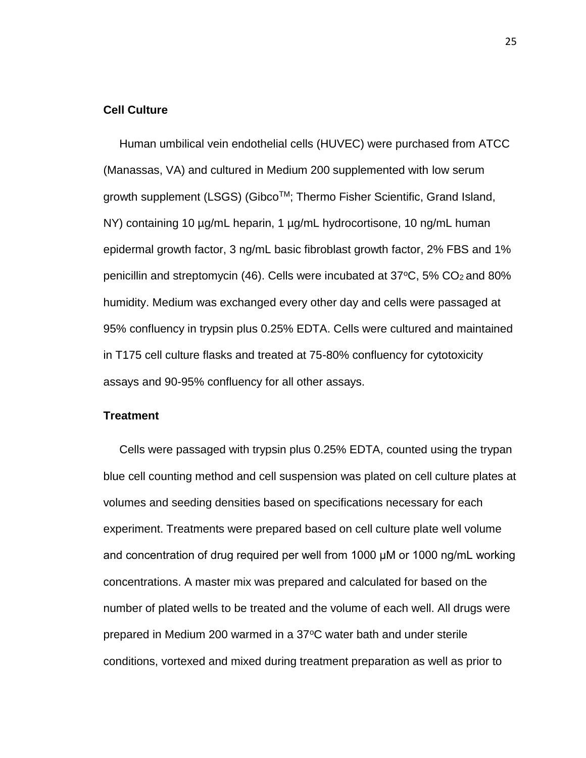### **Cell Culture**

 Human umbilical vein endothelial cells (HUVEC) were purchased from ATCC (Manassas, VA) and cultured in Medium 200 supplemented with low serum growth supplement (LSGS) (Gibco™; Thermo Fisher Scientific, Grand Island, NY) containing 10 µg/mL heparin, 1 µg/mL hydrocortisone, 10 ng/mL human epidermal growth factor, 3 ng/mL basic fibroblast growth factor, 2% FBS and 1% penicillin and streptomycin (46). Cells were incubated at  $37^{\circ}$ C, 5% CO<sub>2</sub> and 80% humidity. Medium was exchanged every other day and cells were passaged at 95% confluency in trypsin plus 0.25% EDTA. Cells were cultured and maintained in T175 cell culture flasks and treated at 75-80% confluency for cytotoxicity assays and 90-95% confluency for all other assays.

### **Treatment**

 Cells were passaged with trypsin plus 0.25% EDTA, counted using the trypan blue cell counting method and cell suspension was plated on cell culture plates at volumes and seeding densities based on specifications necessary for each experiment. Treatments were prepared based on cell culture plate well volume and concentration of drug required per well from 1000 μM or 1000 ng/mL working concentrations. A master mix was prepared and calculated for based on the number of plated wells to be treated and the volume of each well. All drugs were prepared in Medium 200 warmed in a 37°C water bath and under sterile conditions, vortexed and mixed during treatment preparation as well as prior to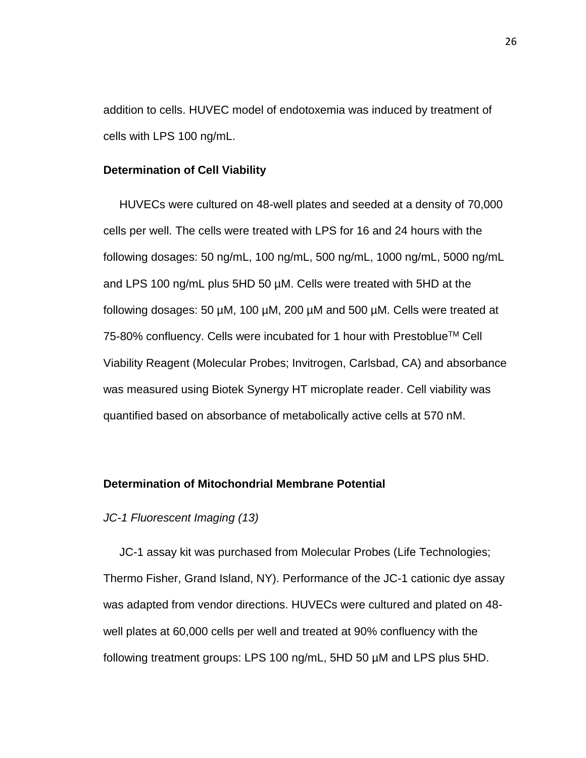addition to cells. HUVEC model of endotoxemia was induced by treatment of cells with LPS 100 ng/mL.

### **Determination of Cell Viability**

 HUVECs were cultured on 48-well plates and seeded at a density of 70,000 cells per well. The cells were treated with LPS for 16 and 24 hours with the following dosages: 50 ng/mL, 100 ng/mL, 500 ng/mL, 1000 ng/mL, 5000 ng/mL and LPS 100 ng/mL plus 5HD 50 µM. Cells were treated with 5HD at the following dosages: 50 µM, 100 µM, 200 µM and 500 µM. Cells were treated at 75-80% confluency. Cells were incubated for 1 hour with Prestoblue™ Cell Viability Reagent (Molecular Probes; Invitrogen, Carlsbad, CA) and absorbance was measured using Biotek Synergy HT microplate reader. Cell viability was quantified based on absorbance of metabolically active cells at 570 nM.

### **Determination of Mitochondrial Membrane Potential**

### *JC-1 Fluorescent Imaging (13)*

 JC-1 assay kit was purchased from Molecular Probes (Life Technologies; Thermo Fisher, Grand Island, NY). Performance of the JC-1 cationic dye assay was adapted from vendor directions. HUVECs were cultured and plated on 48 well plates at 60,000 cells per well and treated at 90% confluency with the following treatment groups: LPS 100 ng/mL, 5HD 50 µM and LPS plus 5HD.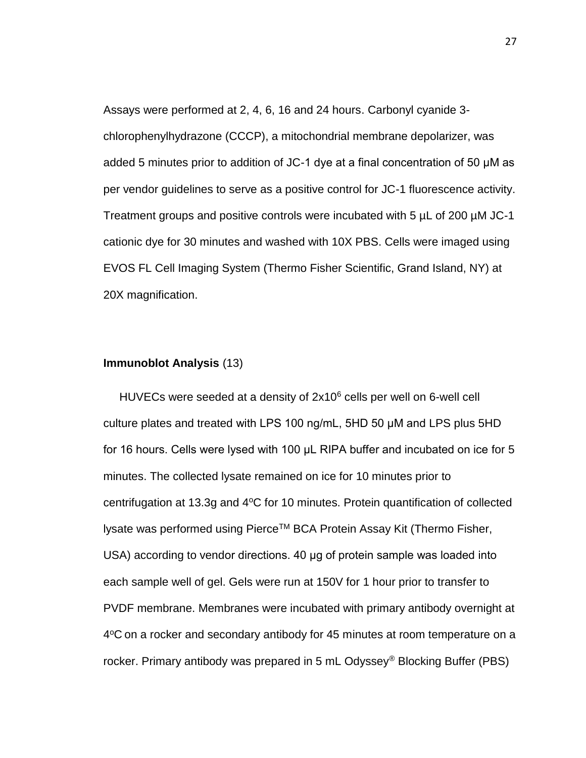Assays were performed at 2, 4, 6, 16 and 24 hours. Carbonyl cyanide 3 chlorophenylhydrazone (CCCP), a mitochondrial membrane depolarizer, was added 5 minutes prior to addition of JC-1 dye at a final concentration of 50 μM as per vendor guidelines to serve as a positive control for JC-1 fluorescence activity. Treatment groups and positive controls were incubated with 5 µL of 200 µM JC-1 cationic dye for 30 minutes and washed with 10X PBS. Cells were imaged using EVOS FL Cell Imaging System (Thermo Fisher Scientific, Grand Island, NY) at 20X magnification.

### **Immunoblot Analysis** (13)

HUVECs were seeded at a density of  $2x10^6$  cells per well on 6-well cell culture plates and treated with LPS 100 ng/mL, 5HD 50 μM and LPS plus 5HD for 16 hours. Cells were lysed with 100 μL RIPA buffer and incubated on ice for 5 minutes. The collected lysate remained on ice for 10 minutes prior to centrifugation at 13.3g and  $4^{\circ}$ C for 10 minutes. Protein quantification of collected lysate was performed using Pierce™ BCA Protein Assay Kit (Thermo Fisher, USA) according to vendor directions. 40 μg of protein sample was loaded into each sample well of gel. Gels were run at 150V for 1 hour prior to transfer to PVDF membrane. Membranes were incubated with primary antibody overnight at 4°C on a rocker and secondary antibody for 45 minutes at room temperature on a rocker. Primary antibody was prepared in 5 mL Odyssey® Blocking Buffer (PBS)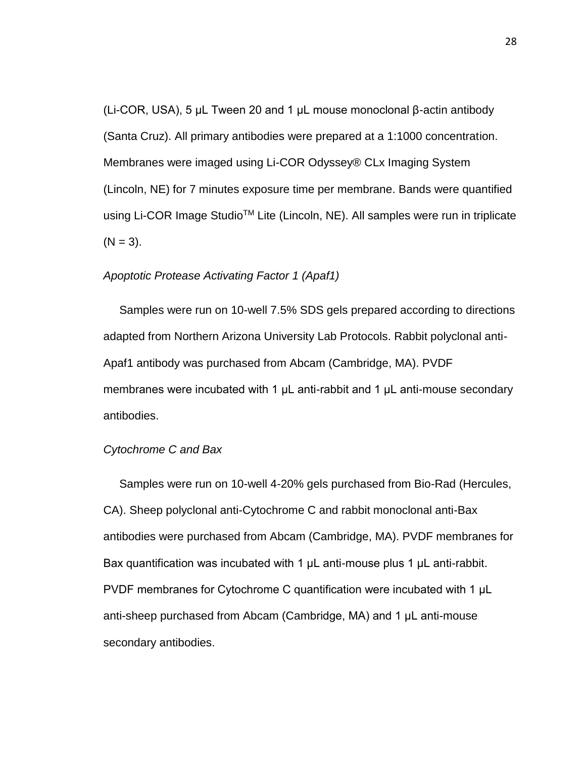(Li-COR, USA), 5 μL Tween 20 and 1 μL mouse monoclonal β-actin antibody (Santa Cruz). All primary antibodies were prepared at a 1:1000 concentration. Membranes were imaged using Li-COR Odyssey® CLx Imaging System (Lincoln, NE) for 7 minutes exposure time per membrane. Bands were quantified using Li-COR Image Studio<sup>™</sup> Lite (Lincoln, NE). All samples were run in triplicate  $(N = 3)$ .

### *Apoptotic Protease Activating Factor 1 (Apaf1)*

 Samples were run on 10-well 7.5% SDS gels prepared according to directions adapted from Northern Arizona University Lab Protocols. Rabbit polyclonal anti-Apaf1 antibody was purchased from Abcam (Cambridge, MA). PVDF membranes were incubated with 1 μL anti-rabbit and 1 μL anti-mouse secondary antibodies.

### *Cytochrome C and Bax*

 Samples were run on 10-well 4-20% gels purchased from Bio-Rad (Hercules, CA). Sheep polyclonal anti-Cytochrome C and rabbit monoclonal anti-Bax antibodies were purchased from Abcam (Cambridge, MA). PVDF membranes for Bax quantification was incubated with 1 μL anti-mouse plus 1 μL anti-rabbit. PVDF membranes for Cytochrome C quantification were incubated with 1 μL anti-sheep purchased from Abcam (Cambridge, MA) and 1 μL anti-mouse secondary antibodies.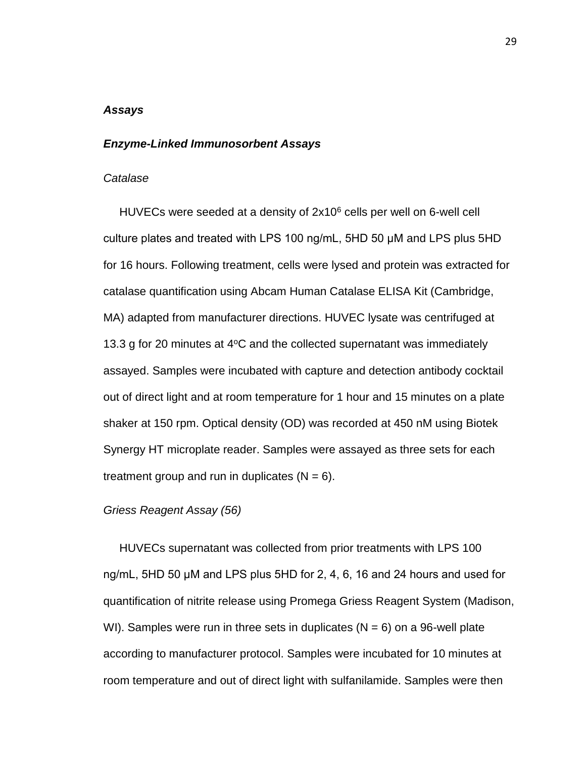### *Assays*

### *Enzyme-Linked Immunosorbent Assays*

#### *Catalase*

HUVECs were seeded at a density of  $2x10^6$  cells per well on 6-well cell culture plates and treated with LPS 100 ng/mL, 5HD 50 μM and LPS plus 5HD for 16 hours. Following treatment, cells were lysed and protein was extracted for catalase quantification using Abcam Human Catalase ELISA Kit (Cambridge, MA) adapted from manufacturer directions. HUVEC lysate was centrifuged at 13.3 g for 20 minutes at 4°C and the collected supernatant was immediately assayed. Samples were incubated with capture and detection antibody cocktail out of direct light and at room temperature for 1 hour and 15 minutes on a plate shaker at 150 rpm. Optical density (OD) was recorded at 450 nM using Biotek Synergy HT microplate reader. Samples were assayed as three sets for each treatment group and run in duplicates  $(N = 6)$ .

### *Griess Reagent Assay (56)*

 HUVECs supernatant was collected from prior treatments with LPS 100 ng/mL, 5HD 50 μM and LPS plus 5HD for 2, 4, 6, 16 and 24 hours and used for quantification of nitrite release using Promega Griess Reagent System (Madison, WI). Samples were run in three sets in duplicates ( $N = 6$ ) on a 96-well plate according to manufacturer protocol. Samples were incubated for 10 minutes at room temperature and out of direct light with sulfanilamide. Samples were then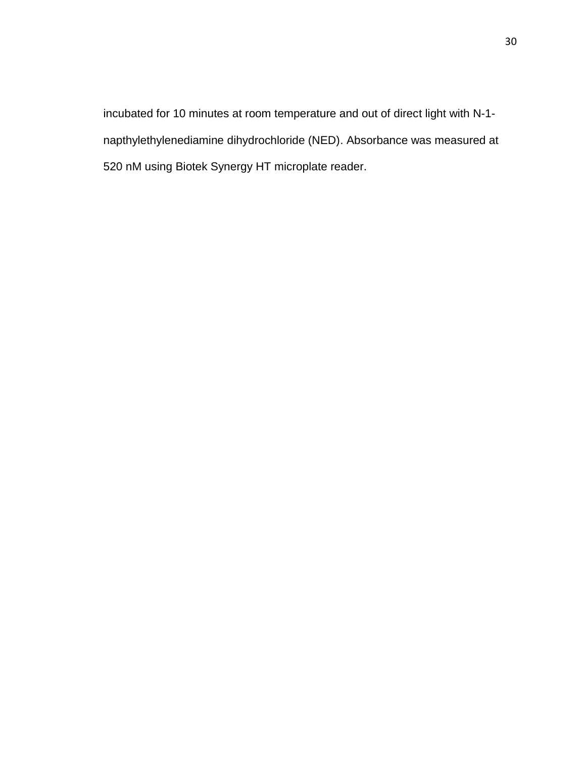incubated for 10 minutes at room temperature and out of direct light with N-1 napthylethylenediamine dihydrochloride (NED). Absorbance was measured at 520 nM using Biotek Synergy HT microplate reader.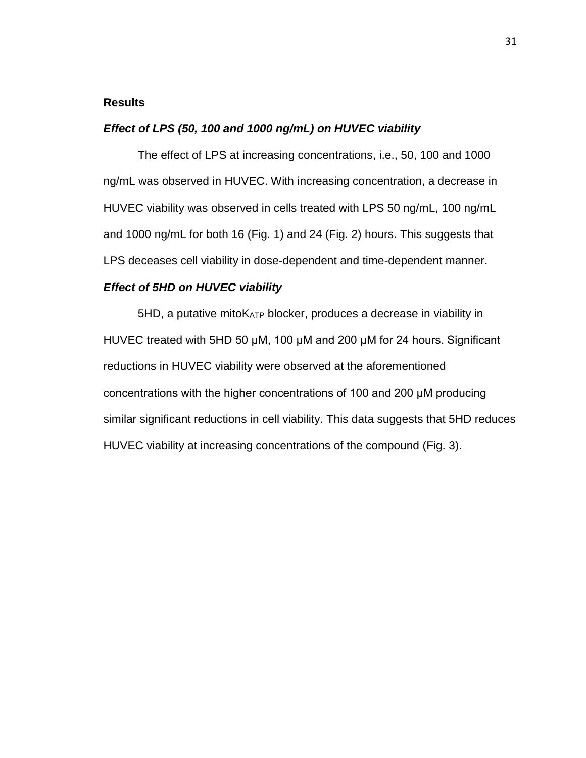### **Results**

### *Effect of LPS (50, 100 and 1000 ng/mL) on HUVEC viability*

The effect of LPS at increasing concentrations, i.e., 50, 100 and 1000 ng/mL was observed in HUVEC. With increasing concentration, a decrease in HUVEC viability was observed in cells treated with LPS 50 ng/mL, 100 ng/mL and 1000 ng/mL for both 16 (Fig. 1) and 24 (Fig. 2) hours. This suggests that LPS deceases cell viability in dose-dependent and time-dependent manner.

### *Effect of 5HD on HUVEC viability*

5HD, a putative mitoKATP blocker, produces a decrease in viability in HUVEC treated with 5HD 50 μM, 100 μM and 200 μM for 24 hours. Significant reductions in HUVEC viability were observed at the aforementioned concentrations with the higher concentrations of 100 and 200 μM producing similar significant reductions in cell viability. This data suggests that 5HD reduces HUVEC viability at increasing concentrations of the compound (Fig. 3).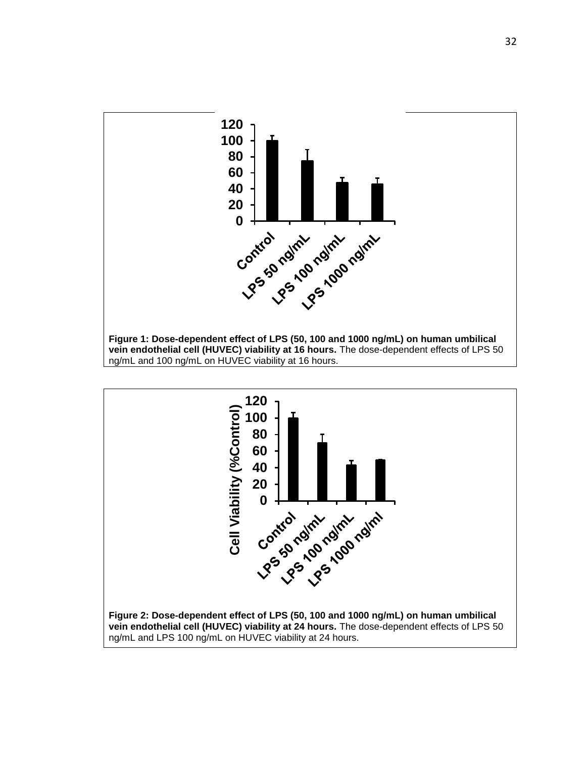

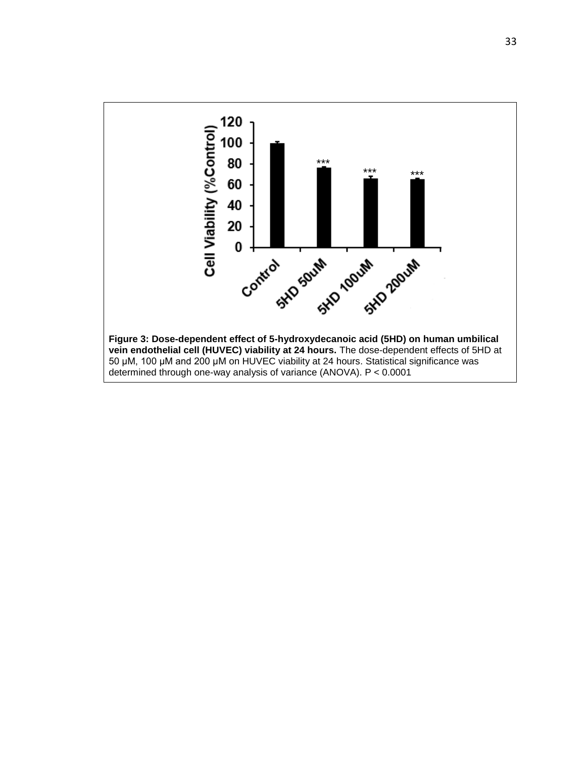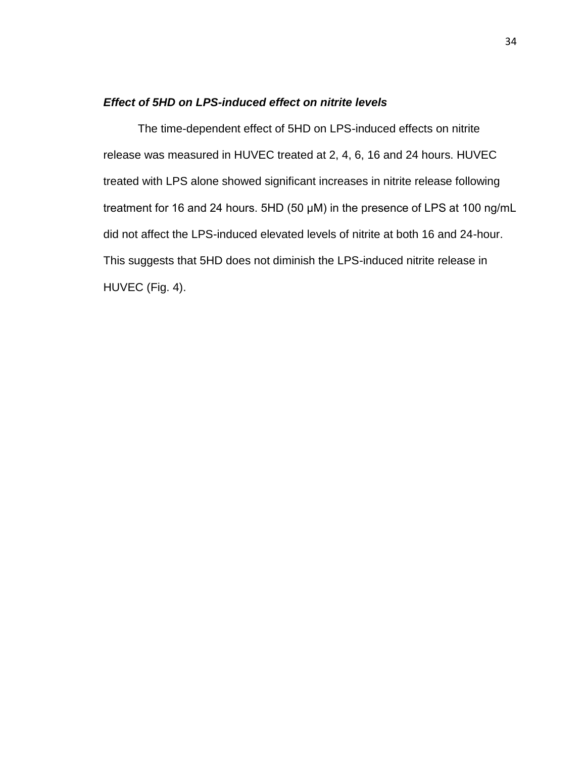### *Effect of 5HD on LPS-induced effect on nitrite levels*

The time-dependent effect of 5HD on LPS-induced effects on nitrite release was measured in HUVEC treated at 2, 4, 6, 16 and 24 hours. HUVEC treated with LPS alone showed significant increases in nitrite release following treatment for 16 and 24 hours. 5HD (50 μM) in the presence of LPS at 100 ng/mL did not affect the LPS-induced elevated levels of nitrite at both 16 and 24-hour. This suggests that 5HD does not diminish the LPS-induced nitrite release in HUVEC (Fig. 4).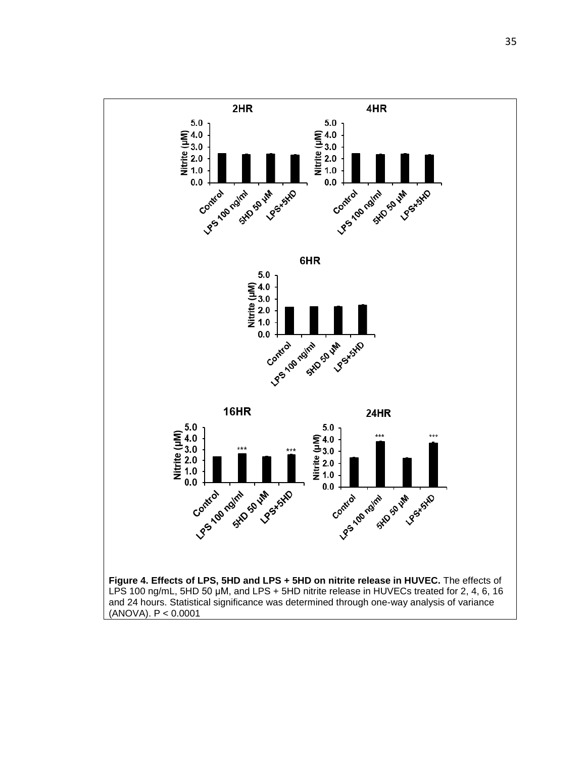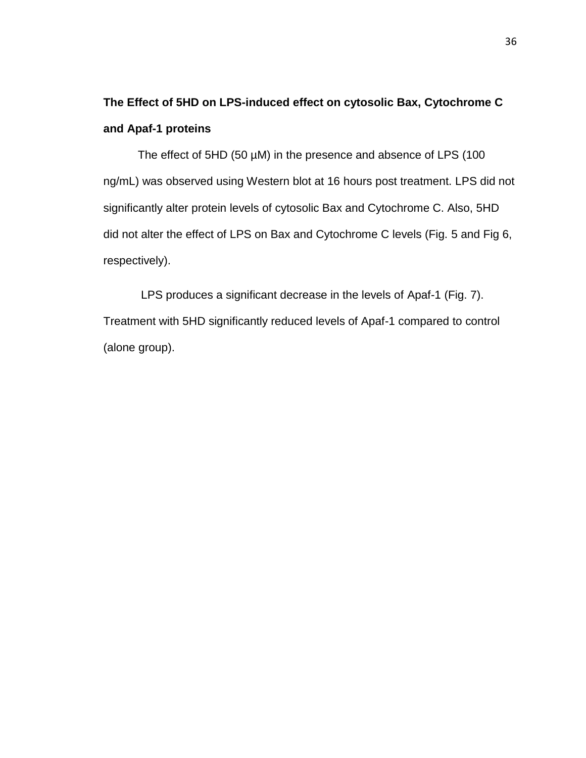# **The Effect of 5HD on LPS-induced effect on cytosolic Bax, Cytochrome C and Apaf-1 proteins**

The effect of 5HD (50 µM) in the presence and absence of LPS (100 ng/mL) was observed using Western blot at 16 hours post treatment. LPS did not significantly alter protein levels of cytosolic Bax and Cytochrome C. Also, 5HD did not alter the effect of LPS on Bax and Cytochrome C levels (Fig. 5 and Fig 6, respectively).

LPS produces a significant decrease in the levels of Apaf-1 (Fig. 7). Treatment with 5HD significantly reduced levels of Apaf-1 compared to control (alone group).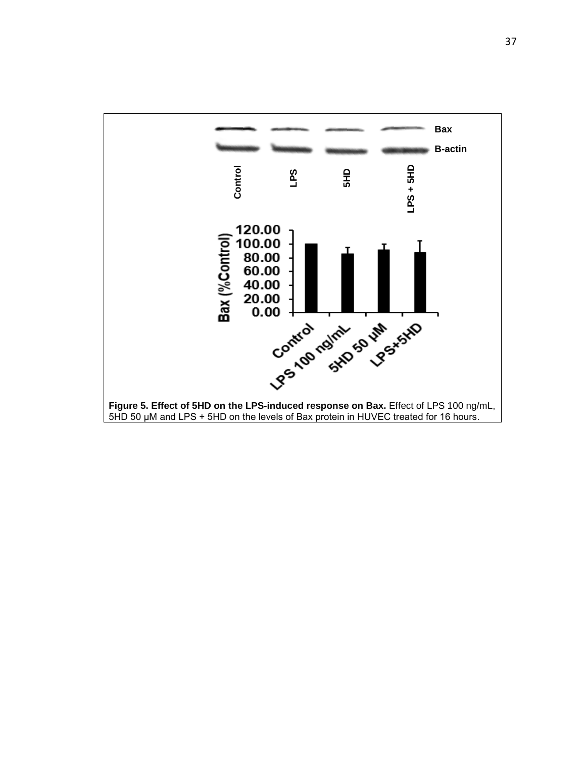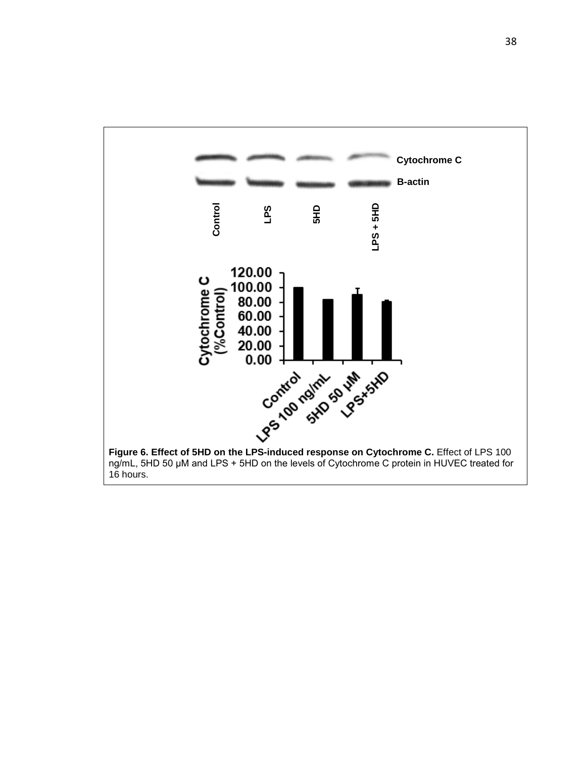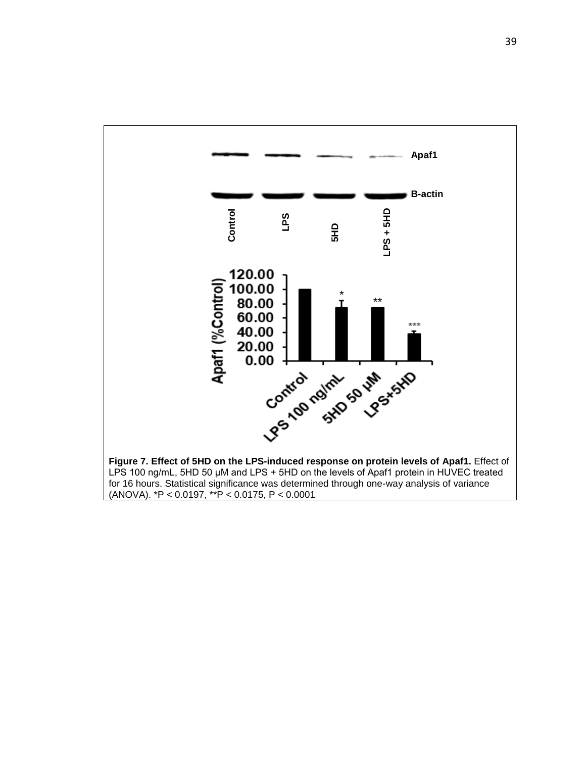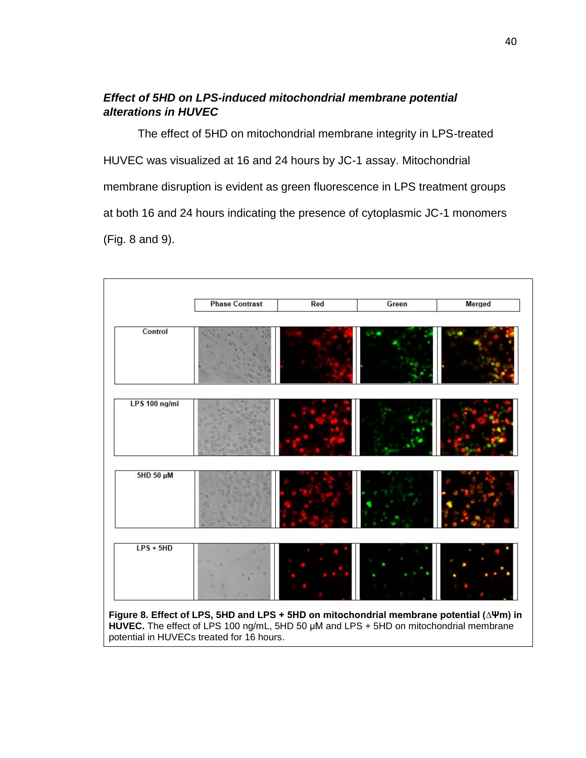### *Effect of 5HD on LPS-induced mitochondrial membrane potential alterations in HUVEC*

The effect of 5HD on mitochondrial membrane integrity in LPS-treated HUVEC was visualized at 16 and 24 hours by JC-1 assay. Mitochondrial membrane disruption is evident as green fluorescence in LPS treatment groups at both 16 and 24 hours indicating the presence of cytoplasmic JC-1 monomers (Fig. 8 and 9).

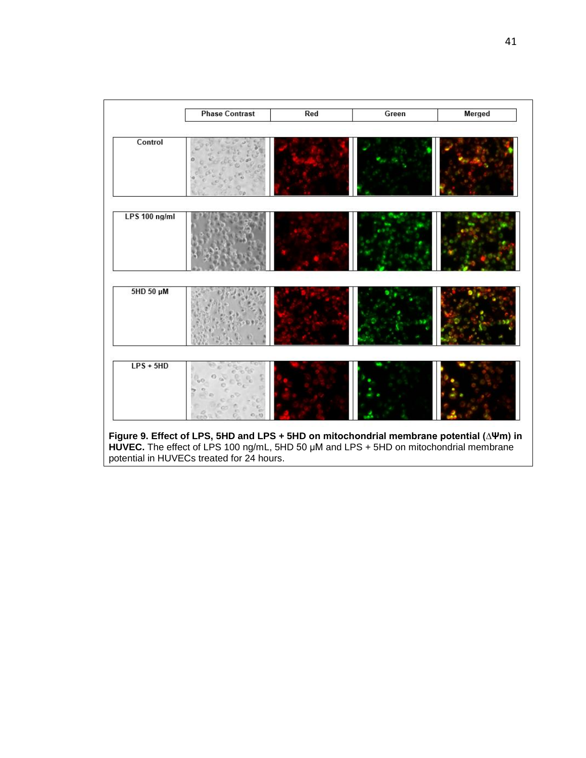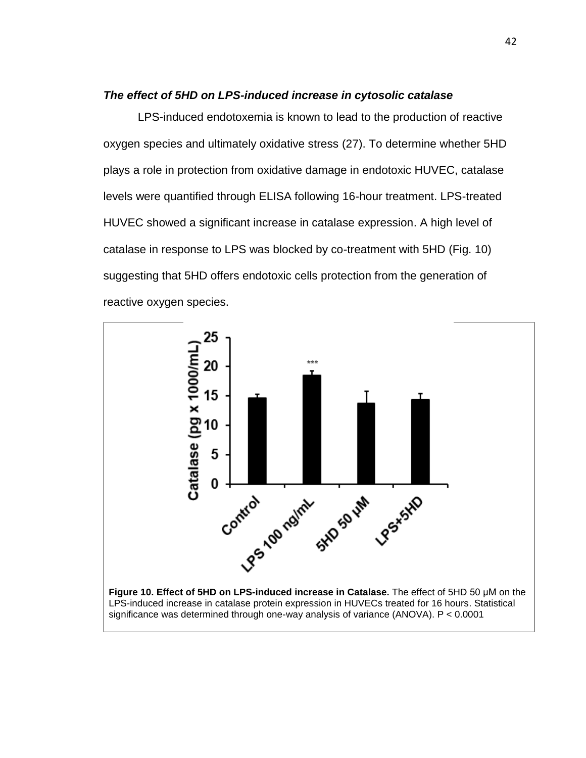### *The effect of 5HD on LPS-induced increase in cytosolic catalase*

LPS-induced endotoxemia is known to lead to the production of reactive oxygen species and ultimately oxidative stress (27). To determine whether 5HD plays a role in protection from oxidative damage in endotoxic HUVEC, catalase levels were quantified through ELISA following 16-hour treatment. LPS-treated HUVEC showed a significant increase in catalase expression. A high level of catalase in response to LPS was blocked by co-treatment with 5HD (Fig. 10) suggesting that 5HD offers endotoxic cells protection from the generation of reactive oxygen species.

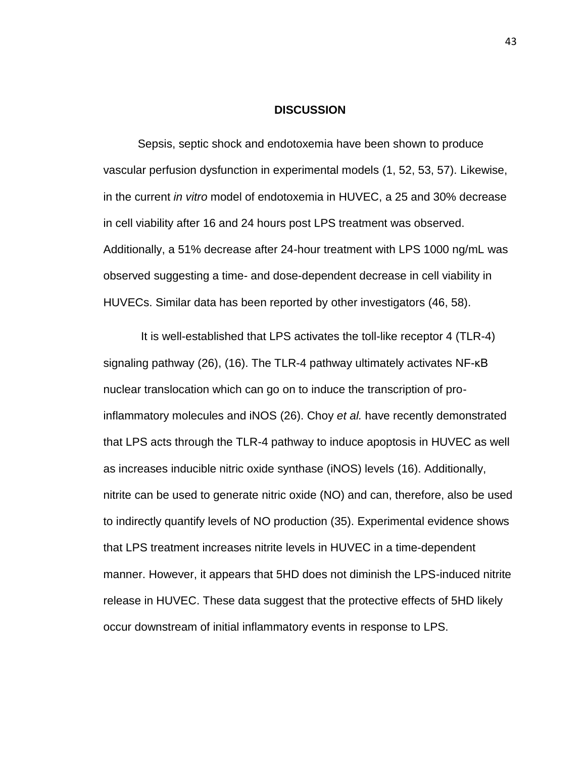### **DISCUSSION**

Sepsis, septic shock and endotoxemia have been shown to produce vascular perfusion dysfunction in experimental models (1, 52, 53, 57). Likewise, in the current *in vitro* model of endotoxemia in HUVEC, a 25 and 30% decrease in cell viability after 16 and 24 hours post LPS treatment was observed. Additionally, a 51% decrease after 24-hour treatment with LPS 1000 ng/mL was observed suggesting a time- and dose-dependent decrease in cell viability in HUVECs. Similar data has been reported by other investigators (46, 58).

It is well-established that LPS activates the toll-like receptor 4 (TLR-4) signaling pathway (26), (16). The TLR-4 pathway ultimately activates NF-κB nuclear translocation which can go on to induce the transcription of proinflammatory molecules and iNOS (26). Choy *et al.* have recently demonstrated that LPS acts through the TLR-4 pathway to induce apoptosis in HUVEC as well as increases inducible nitric oxide synthase (iNOS) levels (16). Additionally, nitrite can be used to generate nitric oxide (NO) and can, therefore, also be used to indirectly quantify levels of NO production (35). Experimental evidence shows that LPS treatment increases nitrite levels in HUVEC in a time-dependent manner. However, it appears that 5HD does not diminish the LPS-induced nitrite release in HUVEC. These data suggest that the protective effects of 5HD likely occur downstream of initial inflammatory events in response to LPS.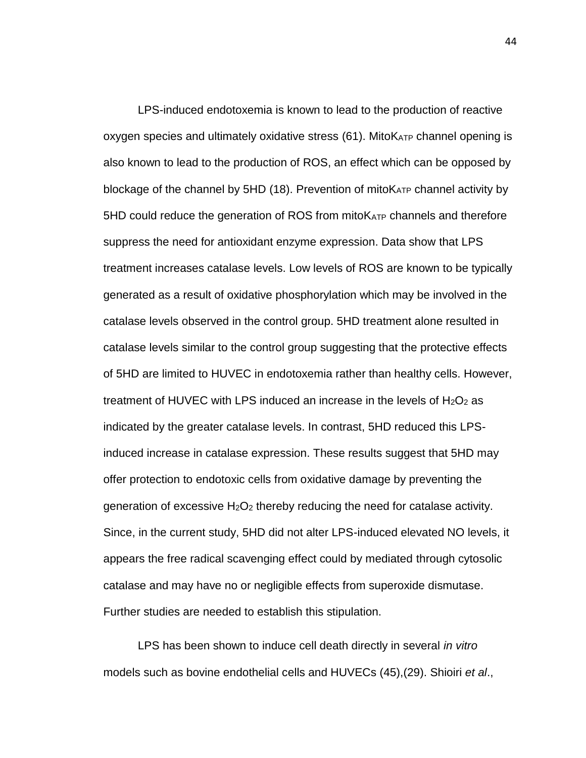LPS-induced endotoxemia is known to lead to the production of reactive oxygen species and ultimately oxidative stress (61). MitoKATP channel opening is also known to lead to the production of ROS, an effect which can be opposed by blockage of the channel by 5HD (18). Prevention of mitoK<sub>ATP</sub> channel activity by 5HD could reduce the generation of ROS from mitoKATP channels and therefore suppress the need for antioxidant enzyme expression. Data show that LPS treatment increases catalase levels. Low levels of ROS are known to be typically generated as a result of oxidative phosphorylation which may be involved in the catalase levels observed in the control group. 5HD treatment alone resulted in catalase levels similar to the control group suggesting that the protective effects of 5HD are limited to HUVEC in endotoxemia rather than healthy cells. However, treatment of HUVEC with LPS induced an increase in the levels of  $H_2O_2$  as indicated by the greater catalase levels. In contrast, 5HD reduced this LPSinduced increase in catalase expression. These results suggest that 5HD may offer protection to endotoxic cells from oxidative damage by preventing the generation of excessive  $H_2O_2$  thereby reducing the need for catalase activity. Since, in the current study, 5HD did not alter LPS-induced elevated NO levels, it appears the free radical scavenging effect could by mediated through cytosolic catalase and may have no or negligible effects from superoxide dismutase. Further studies are needed to establish this stipulation.

LPS has been shown to induce cell death directly in several *in vitro* models such as bovine endothelial cells and HUVECs (45),(29). Shioiri *et al*., 44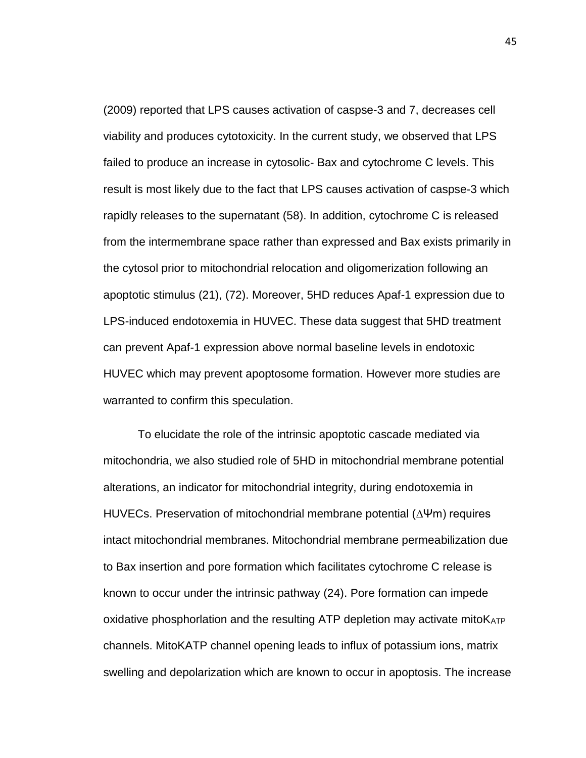(2009) reported that LPS causes activation of caspse-3 and 7, decreases cell viability and produces cytotoxicity. In the current study, we observed that LPS failed to produce an increase in cytosolic- Bax and cytochrome C levels. This result is most likely due to the fact that LPS causes activation of caspse-3 which rapidly releases to the supernatant (58). In addition, cytochrome C is released from the intermembrane space rather than expressed and Bax exists primarily in the cytosol prior to mitochondrial relocation and oligomerization following an apoptotic stimulus (21), (72). Moreover, 5HD reduces Apaf-1 expression due to LPS-induced endotoxemia in HUVEC. These data suggest that 5HD treatment can prevent Apaf-1 expression above normal baseline levels in endotoxic HUVEC which may prevent apoptosome formation. However more studies are warranted to confirm this speculation.

To elucidate the role of the intrinsic apoptotic cascade mediated via mitochondria, we also studied role of 5HD in mitochondrial membrane potential alterations, an indicator for mitochondrial integrity, during endotoxemia in HUVECs. Preservation of mitochondrial membrane potential (∆Ψm) requires intact mitochondrial membranes. Mitochondrial membrane permeabilization due to Bax insertion and pore formation which facilitates cytochrome C release is known to occur under the intrinsic pathway (24). Pore formation can impede oxidative phosphorlation and the resulting ATP depletion may activate mitoK<sub>ATP</sub> channels. MitoKATP channel opening leads to influx of potassium ions, matrix swelling and depolarization which are known to occur in apoptosis. The increase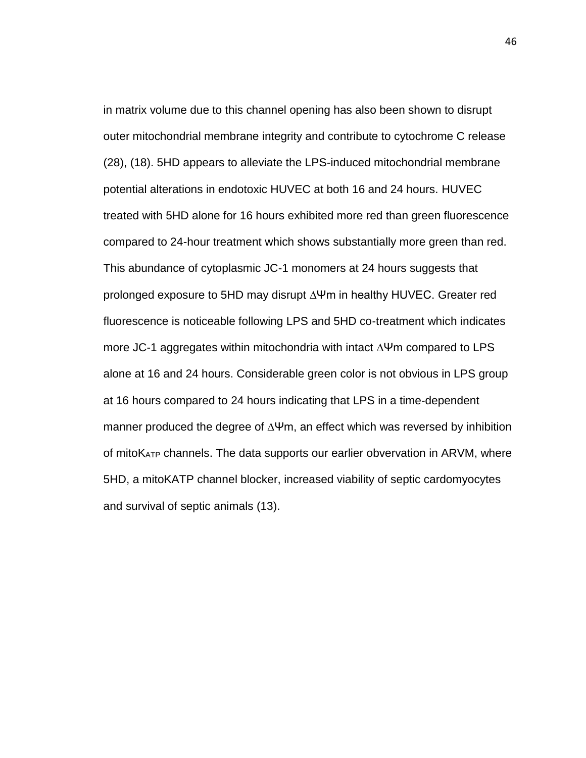in matrix volume due to this channel opening has also been shown to disrupt outer mitochondrial membrane integrity and contribute to cytochrome C release (28), (18). 5HD appears to alleviate the LPS-induced mitochondrial membrane potential alterations in endotoxic HUVEC at both 16 and 24 hours. HUVEC treated with 5HD alone for 16 hours exhibited more red than green fluorescence compared to 24-hour treatment which shows substantially more green than red. This abundance of cytoplasmic JC-1 monomers at 24 hours suggests that prolonged exposure to 5HD may disrupt ∆Ψm in healthy HUVEC. Greater red fluorescence is noticeable following LPS and 5HD co-treatment which indicates more JC-1 aggregates within mitochondria with intact ∆Ψm compared to LPS alone at 16 and 24 hours. Considerable green color is not obvious in LPS group at 16 hours compared to 24 hours indicating that LPS in a time-dependent manner produced the degree of ∆Ψm, an effect which was reversed by inhibition of mitoKATP channels. The data supports our earlier obvervation in ARVM, where 5HD, a mitoKATP channel blocker, increased viability of septic cardomyocytes and survival of septic animals (13).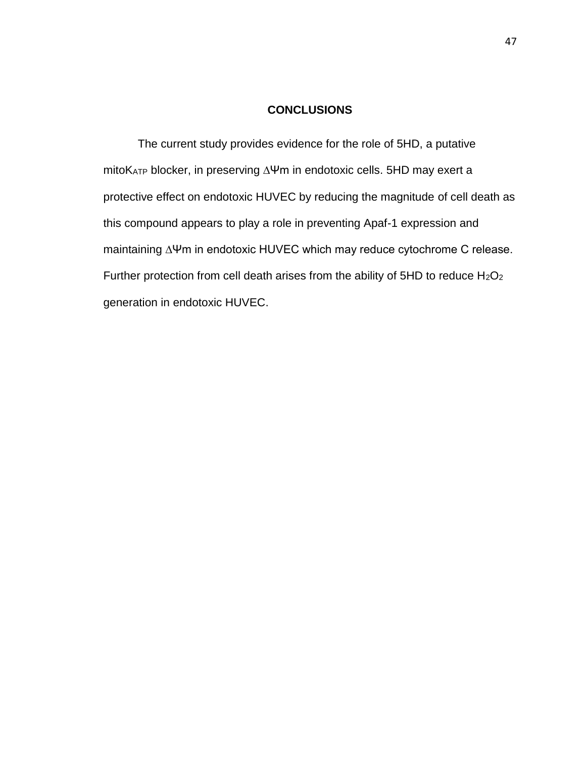### **CONCLUSIONS**

The current study provides evidence for the role of 5HD, a putative mitoKATP blocker, in preserving ∆Ψm in endotoxic cells. 5HD may exert a protective effect on endotoxic HUVEC by reducing the magnitude of cell death as this compound appears to play a role in preventing Apaf-1 expression and maintaining ∆Ψm in endotoxic HUVEC which may reduce cytochrome C release. Further protection from cell death arises from the ability of 5HD to reduce  $H_2O_2$ generation in endotoxic HUVEC.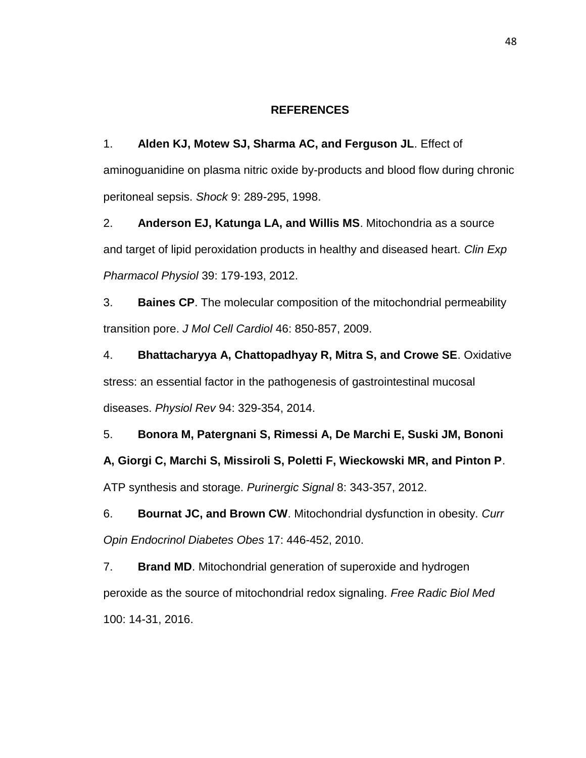### **REFERENCES**

1. **Alden KJ, Motew SJ, Sharma AC, and Ferguson JL**. Effect of aminoguanidine on plasma nitric oxide by-products and blood flow during chronic peritoneal sepsis. *Shock* 9: 289-295, 1998.

2. **Anderson EJ, Katunga LA, and Willis MS**. Mitochondria as a source and target of lipid peroxidation products in healthy and diseased heart. *Clin Exp Pharmacol Physiol* 39: 179-193, 2012.

3. **Baines CP**. The molecular composition of the mitochondrial permeability transition pore. *J Mol Cell Cardiol* 46: 850-857, 2009.

4. **Bhattacharyya A, Chattopadhyay R, Mitra S, and Crowe SE**. Oxidative stress: an essential factor in the pathogenesis of gastrointestinal mucosal diseases. *Physiol Rev* 94: 329-354, 2014.

5. **Bonora M, Patergnani S, Rimessi A, De Marchi E, Suski JM, Bononi A, Giorgi C, Marchi S, Missiroli S, Poletti F, Wieckowski MR, and Pinton P**. ATP synthesis and storage. *Purinergic Signal* 8: 343-357, 2012.

6. **Bournat JC, and Brown CW**. Mitochondrial dysfunction in obesity. *Curr Opin Endocrinol Diabetes Obes* 17: 446-452, 2010.

7. **Brand MD**. Mitochondrial generation of superoxide and hydrogen peroxide as the source of mitochondrial redox signaling. *Free Radic Biol Med*  100: 14-31, 2016.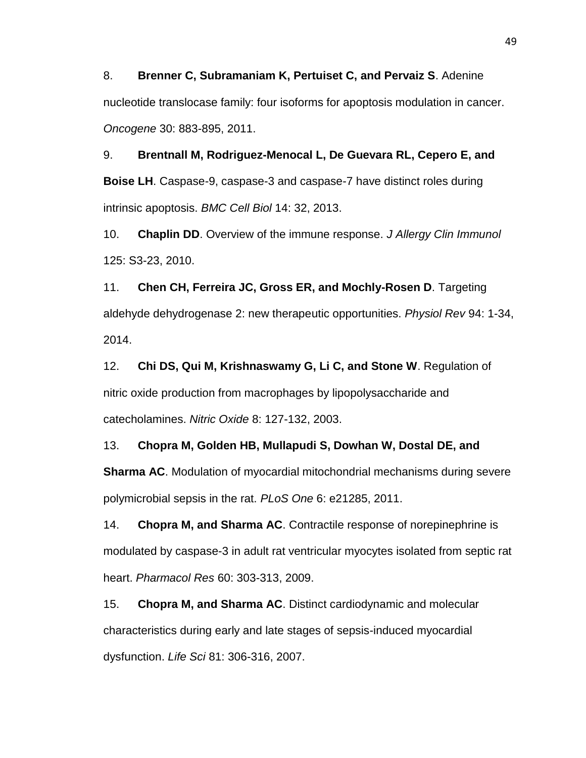8. **Brenner C, Subramaniam K, Pertuiset C, and Pervaiz S**. Adenine nucleotide translocase family: four isoforms for apoptosis modulation in cancer. *Oncogene* 30: 883-895, 2011.

9. **Brentnall M, Rodriguez-Menocal L, De Guevara RL, Cepero E, and Boise LH**. Caspase-9, caspase-3 and caspase-7 have distinct roles during intrinsic apoptosis. *BMC Cell Biol* 14: 32, 2013.

10. **Chaplin DD**. Overview of the immune response. *J Allergy Clin Immunol*  125: S3-23, 2010.

11. **Chen CH, Ferreira JC, Gross ER, and Mochly-Rosen D**. Targeting aldehyde dehydrogenase 2: new therapeutic opportunities. *Physiol Rev* 94: 1-34, 2014.

12. **Chi DS, Qui M, Krishnaswamy G, Li C, and Stone W**. Regulation of nitric oxide production from macrophages by lipopolysaccharide and catecholamines. *Nitric Oxide* 8: 127-132, 2003.

13. **Chopra M, Golden HB, Mullapudi S, Dowhan W, Dostal DE, and Sharma AC**. Modulation of myocardial mitochondrial mechanisms during severe polymicrobial sepsis in the rat. *PLoS One* 6: e21285, 2011.

14. **Chopra M, and Sharma AC**. Contractile response of norepinephrine is modulated by caspase-3 in adult rat ventricular myocytes isolated from septic rat heart. *Pharmacol Res* 60: 303-313, 2009.

15. **Chopra M, and Sharma AC**. Distinct cardiodynamic and molecular characteristics during early and late stages of sepsis-induced myocardial dysfunction. *Life Sci* 81: 306-316, 2007.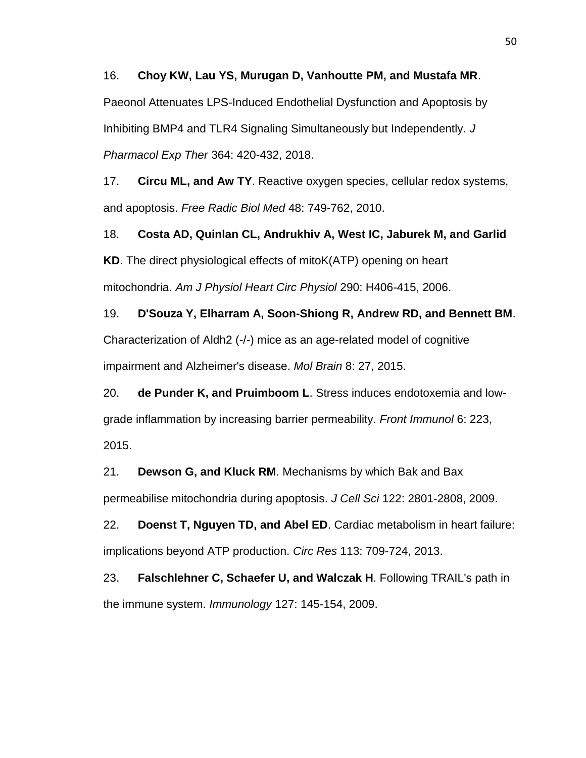### 16. **Choy KW, Lau YS, Murugan D, Vanhoutte PM, and Mustafa MR**.

Paeonol Attenuates LPS-Induced Endothelial Dysfunction and Apoptosis by Inhibiting BMP4 and TLR4 Signaling Simultaneously but Independently. *J Pharmacol Exp Ther* 364: 420-432, 2018.

17. **Circu ML, and Aw TY**. Reactive oxygen species, cellular redox systems, and apoptosis. *Free Radic Biol Med* 48: 749-762, 2010.

18. **Costa AD, Quinlan CL, Andrukhiv A, West IC, Jaburek M, and Garlid KD**. The direct physiological effects of mitoK(ATP) opening on heart mitochondria. *Am J Physiol Heart Circ Physiol* 290: H406-415, 2006.

19. **D'Souza Y, Elharram A, Soon-Shiong R, Andrew RD, and Bennett BM**. Characterization of Aldh2 (-/-) mice as an age-related model of cognitive impairment and Alzheimer's disease. *Mol Brain* 8: 27, 2015.

20. **de Punder K, and Pruimboom L**. Stress induces endotoxemia and lowgrade inflammation by increasing barrier permeability. *Front Immunol* 6: 223, 2015.

21. **Dewson G, and Kluck RM**. Mechanisms by which Bak and Bax permeabilise mitochondria during apoptosis. *J Cell Sci* 122: 2801-2808, 2009.

22. **Doenst T, Nguyen TD, and Abel ED**. Cardiac metabolism in heart failure: implications beyond ATP production. *Circ Res* 113: 709-724, 2013.

23. **Falschlehner C, Schaefer U, and Walczak H**. Following TRAIL's path in the immune system. *Immunology* 127: 145-154, 2009.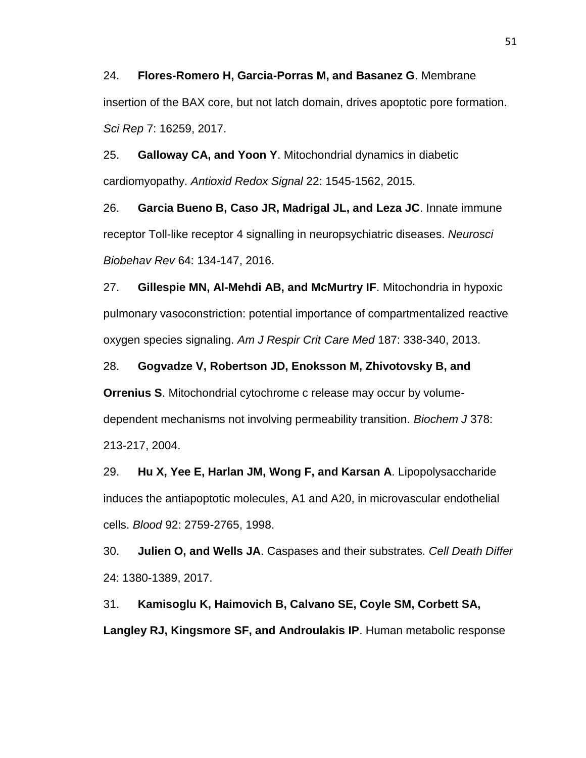24. **Flores-Romero H, Garcia-Porras M, and Basanez G**. Membrane insertion of the BAX core, but not latch domain, drives apoptotic pore formation. *Sci Rep* 7: 16259, 2017.

25. **Galloway CA, and Yoon Y**. Mitochondrial dynamics in diabetic cardiomyopathy. *Antioxid Redox Signal* 22: 1545-1562, 2015.

26. **Garcia Bueno B, Caso JR, Madrigal JL, and Leza JC**. Innate immune receptor Toll-like receptor 4 signalling in neuropsychiatric diseases. *Neurosci Biobehav Rev* 64: 134-147, 2016.

27. **Gillespie MN, Al-Mehdi AB, and McMurtry IF**. Mitochondria in hypoxic pulmonary vasoconstriction: potential importance of compartmentalized reactive oxygen species signaling. *Am J Respir Crit Care Med* 187: 338-340, 2013.

28. **Gogvadze V, Robertson JD, Enoksson M, Zhivotovsky B, and Orrenius S**. Mitochondrial cytochrome c release may occur by volumedependent mechanisms not involving permeability transition. *Biochem J* 378: 213-217, 2004.

29. **Hu X, Yee E, Harlan JM, Wong F, and Karsan A**. Lipopolysaccharide induces the antiapoptotic molecules, A1 and A20, in microvascular endothelial cells. *Blood* 92: 2759-2765, 1998.

30. **Julien O, and Wells JA**. Caspases and their substrates. *Cell Death Differ*  24: 1380-1389, 2017.

31. **Kamisoglu K, Haimovich B, Calvano SE, Coyle SM, Corbett SA, Langley RJ, Kingsmore SF, and Androulakis IP**. Human metabolic response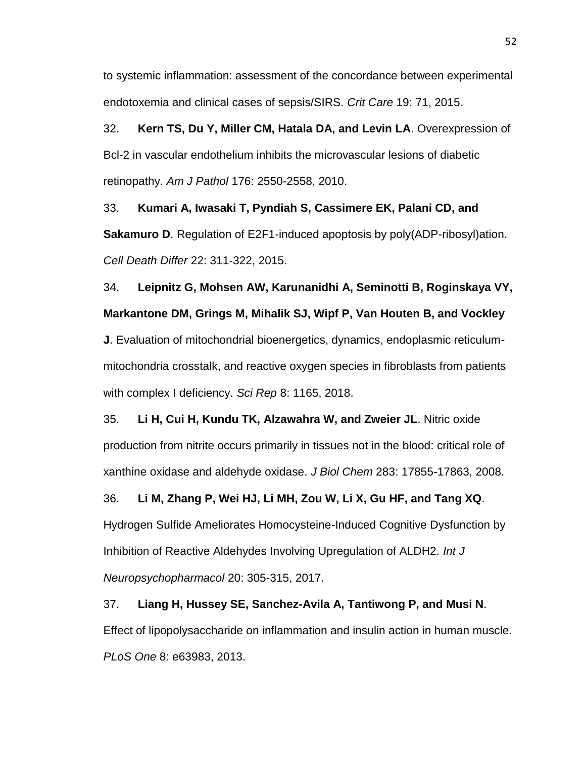to systemic inflammation: assessment of the concordance between experimental endotoxemia and clinical cases of sepsis/SIRS. *Crit Care* 19: 71, 2015.

32. **Kern TS, Du Y, Miller CM, Hatala DA, and Levin LA**. Overexpression of Bcl-2 in vascular endothelium inhibits the microvascular lesions of diabetic retinopathy. *Am J Pathol* 176: 2550-2558, 2010.

33. **Kumari A, Iwasaki T, Pyndiah S, Cassimere EK, Palani CD, and Sakamuro D**. Regulation of E2F1-induced apoptosis by poly(ADP-ribosyl)ation. *Cell Death Differ* 22: 311-322, 2015.

34. **Leipnitz G, Mohsen AW, Karunanidhi A, Seminotti B, Roginskaya VY, Markantone DM, Grings M, Mihalik SJ, Wipf P, Van Houten B, and Vockley J**. Evaluation of mitochondrial bioenergetics, dynamics, endoplasmic reticulummitochondria crosstalk, and reactive oxygen species in fibroblasts from patients

with complex I deficiency. *Sci Rep* 8: 1165, 2018.

35. **Li H, Cui H, Kundu TK, Alzawahra W, and Zweier JL**. Nitric oxide production from nitrite occurs primarily in tissues not in the blood: critical role of xanthine oxidase and aldehyde oxidase. *J Biol Chem* 283: 17855-17863, 2008.

36. **Li M, Zhang P, Wei HJ, Li MH, Zou W, Li X, Gu HF, and Tang XQ**.

Hydrogen Sulfide Ameliorates Homocysteine-Induced Cognitive Dysfunction by Inhibition of Reactive Aldehydes Involving Upregulation of ALDH2. *Int J Neuropsychopharmacol* 20: 305-315, 2017.

37. **Liang H, Hussey SE, Sanchez-Avila A, Tantiwong P, and Musi N**. Effect of lipopolysaccharide on inflammation and insulin action in human muscle. *PLoS One* 8: e63983, 2013.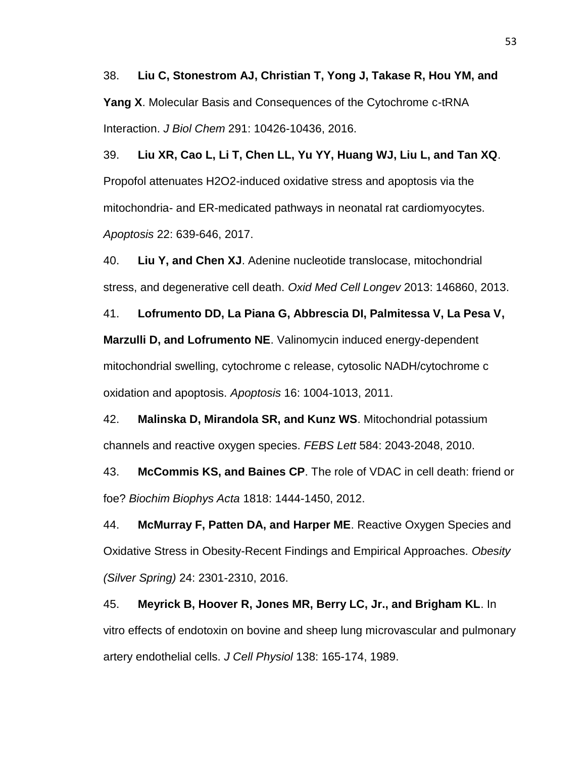38. **Liu C, Stonestrom AJ, Christian T, Yong J, Takase R, Hou YM, and Yang X**. Molecular Basis and Consequences of the Cytochrome c-tRNA Interaction. *J Biol Chem* 291: 10426-10436, 2016.

39. **Liu XR, Cao L, Li T, Chen LL, Yu YY, Huang WJ, Liu L, and Tan XQ**. Propofol attenuates H2O2-induced oxidative stress and apoptosis via the mitochondria- and ER-medicated pathways in neonatal rat cardiomyocytes. *Apoptosis* 22: 639-646, 2017.

40. **Liu Y, and Chen XJ**. Adenine nucleotide translocase, mitochondrial stress, and degenerative cell death. *Oxid Med Cell Longev* 2013: 146860, 2013.

41. **Lofrumento DD, La Piana G, Abbrescia DI, Palmitessa V, La Pesa V, Marzulli D, and Lofrumento NE**. Valinomycin induced energy-dependent mitochondrial swelling, cytochrome c release, cytosolic NADH/cytochrome c oxidation and apoptosis. *Apoptosis* 16: 1004-1013, 2011.

42. **Malinska D, Mirandola SR, and Kunz WS**. Mitochondrial potassium channels and reactive oxygen species. *FEBS Lett* 584: 2043-2048, 2010.

43. **McCommis KS, and Baines CP**. The role of VDAC in cell death: friend or foe? *Biochim Biophys Acta* 1818: 1444-1450, 2012.

44. **McMurray F, Patten DA, and Harper ME**. Reactive Oxygen Species and Oxidative Stress in Obesity-Recent Findings and Empirical Approaches. *Obesity (Silver Spring)* 24: 2301-2310, 2016.

45. **Meyrick B, Hoover R, Jones MR, Berry LC, Jr., and Brigham KL**. In vitro effects of endotoxin on bovine and sheep lung microvascular and pulmonary artery endothelial cells. *J Cell Physiol* 138: 165-174, 1989.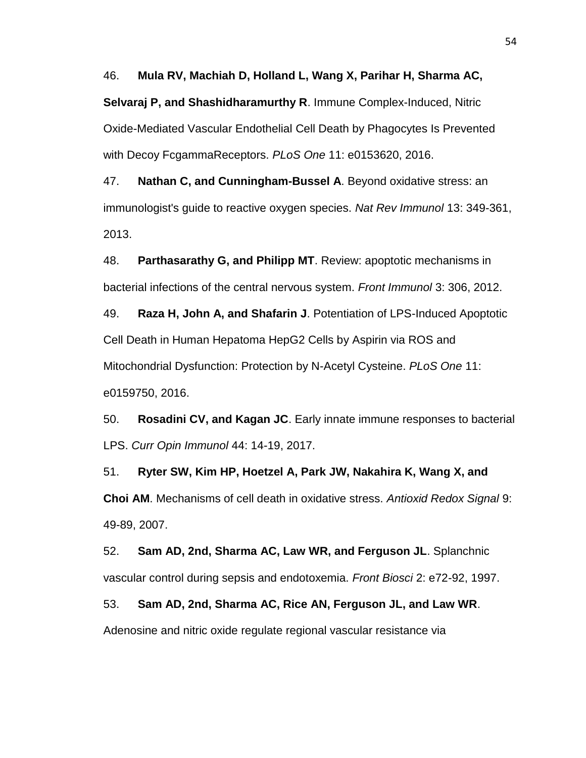46. **Mula RV, Machiah D, Holland L, Wang X, Parihar H, Sharma AC, Selvaraj P, and Shashidharamurthy R**. Immune Complex-Induced, Nitric Oxide-Mediated Vascular Endothelial Cell Death by Phagocytes Is Prevented with Decoy FcgammaReceptors. *PLoS One* 11: e0153620, 2016.

47. **Nathan C, and Cunningham-Bussel A**. Beyond oxidative stress: an immunologist's guide to reactive oxygen species. *Nat Rev Immunol* 13: 349-361, 2013.

48. **Parthasarathy G, and Philipp MT**. Review: apoptotic mechanisms in bacterial infections of the central nervous system. *Front Immunol* 3: 306, 2012.

49. **Raza H, John A, and Shafarin J**. Potentiation of LPS-Induced Apoptotic Cell Death in Human Hepatoma HepG2 Cells by Aspirin via ROS and Mitochondrial Dysfunction: Protection by N-Acetyl Cysteine. *PLoS One* 11: e0159750, 2016.

50. **Rosadini CV, and Kagan JC**. Early innate immune responses to bacterial LPS. *Curr Opin Immunol* 44: 14-19, 2017.

51. **Ryter SW, Kim HP, Hoetzel A, Park JW, Nakahira K, Wang X, and Choi AM**. Mechanisms of cell death in oxidative stress. *Antioxid Redox Signal* 9: 49-89, 2007.

52. **Sam AD, 2nd, Sharma AC, Law WR, and Ferguson JL**. Splanchnic vascular control during sepsis and endotoxemia. *Front Biosci* 2: e72-92, 1997.

53. **Sam AD, 2nd, Sharma AC, Rice AN, Ferguson JL, and Law WR**. Adenosine and nitric oxide regulate regional vascular resistance via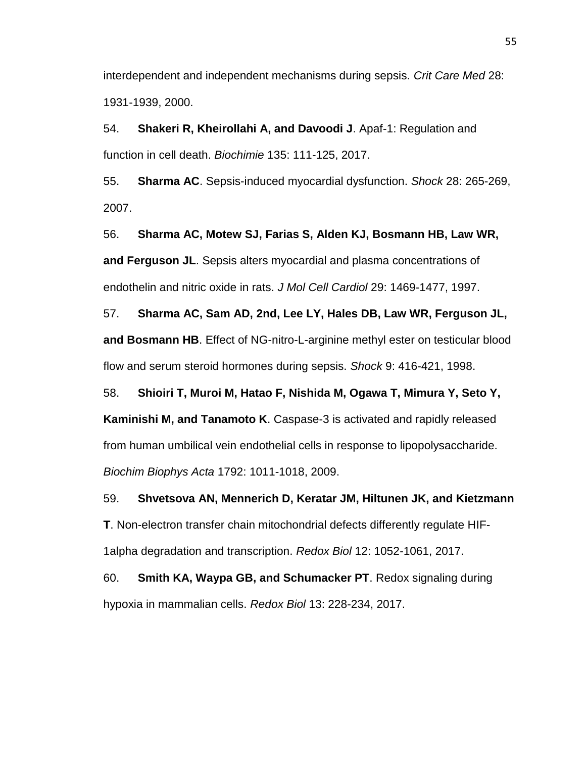interdependent and independent mechanisms during sepsis. *Crit Care Med* 28: 1931-1939, 2000.

54. **Shakeri R, Kheirollahi A, and Davoodi J**. Apaf-1: Regulation and function in cell death. *Biochimie* 135: 111-125, 2017.

55. **Sharma AC**. Sepsis-induced myocardial dysfunction. *Shock* 28: 265-269, 2007.

56. **Sharma AC, Motew SJ, Farias S, Alden KJ, Bosmann HB, Law WR, and Ferguson JL**. Sepsis alters myocardial and plasma concentrations of endothelin and nitric oxide in rats. *J Mol Cell Cardiol* 29: 1469-1477, 1997.

57. **Sharma AC, Sam AD, 2nd, Lee LY, Hales DB, Law WR, Ferguson JL, and Bosmann HB**. Effect of NG-nitro-L-arginine methyl ester on testicular blood flow and serum steroid hormones during sepsis. *Shock* 9: 416-421, 1998.

58. **Shioiri T, Muroi M, Hatao F, Nishida M, Ogawa T, Mimura Y, Seto Y, Kaminishi M, and Tanamoto K**. Caspase-3 is activated and rapidly released from human umbilical vein endothelial cells in response to lipopolysaccharide. *Biochim Biophys Acta* 1792: 1011-1018, 2009.

59. **Shvetsova AN, Mennerich D, Keratar JM, Hiltunen JK, and Kietzmann T**. Non-electron transfer chain mitochondrial defects differently regulate HIF-1alpha degradation and transcription. *Redox Biol* 12: 1052-1061, 2017.

60. **Smith KA, Waypa GB, and Schumacker PT**. Redox signaling during hypoxia in mammalian cells. *Redox Biol* 13: 228-234, 2017.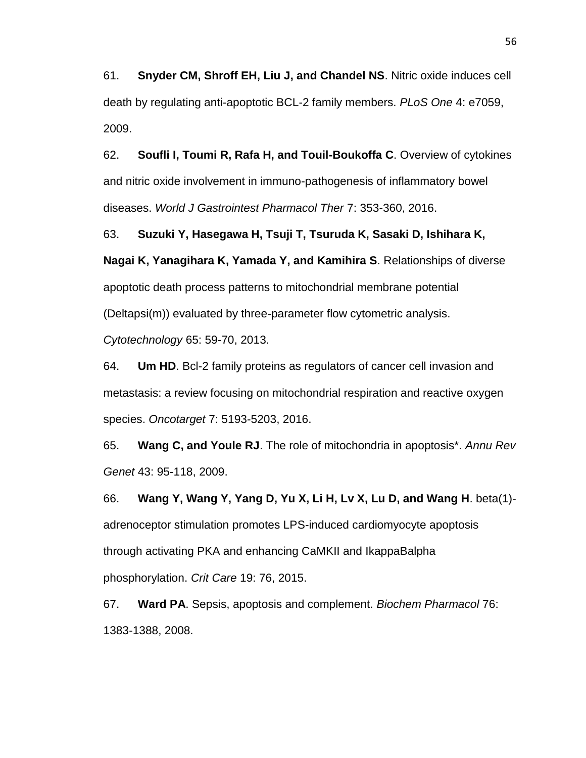61. **Snyder CM, Shroff EH, Liu J, and Chandel NS**. Nitric oxide induces cell death by regulating anti-apoptotic BCL-2 family members. *PLoS One* 4: e7059, 2009.

62. **Soufli I, Toumi R, Rafa H, and Touil-Boukoffa C**. Overview of cytokines and nitric oxide involvement in immuno-pathogenesis of inflammatory bowel diseases. *World J Gastrointest Pharmacol Ther* 7: 353-360, 2016.

63. **Suzuki Y, Hasegawa H, Tsuji T, Tsuruda K, Sasaki D, Ishihara K, Nagai K, Yanagihara K, Yamada Y, and Kamihira S**. Relationships of diverse apoptotic death process patterns to mitochondrial membrane potential (Deltapsi(m)) evaluated by three-parameter flow cytometric analysis. *Cytotechnology* 65: 59-70, 2013.

64. **Um HD**. Bcl-2 family proteins as regulators of cancer cell invasion and metastasis: a review focusing on mitochondrial respiration and reactive oxygen species. *Oncotarget* 7: 5193-5203, 2016.

65. **Wang C, and Youle RJ**. The role of mitochondria in apoptosis\*. *Annu Rev Genet* 43: 95-118, 2009.

66. **Wang Y, Wang Y, Yang D, Yu X, Li H, Lv X, Lu D, and Wang H**. beta(1) adrenoceptor stimulation promotes LPS-induced cardiomyocyte apoptosis through activating PKA and enhancing CaMKII and IkappaBalpha phosphorylation. *Crit Care* 19: 76, 2015.

67. **Ward PA**. Sepsis, apoptosis and complement. *Biochem Pharmacol* 76: 1383-1388, 2008.